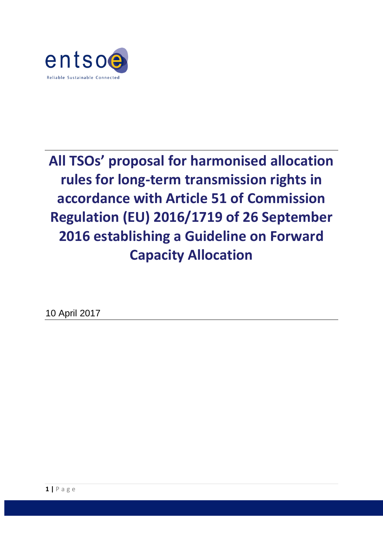

# **All TSOs' proposal for harmonised allocation rules for long-term transmission rights in accordance with Article 51 of Commission Regulation (EU) 2016/1719 of 26 September 2016 establishing a Guideline on Forward Capacity Allocation**

10 April 2017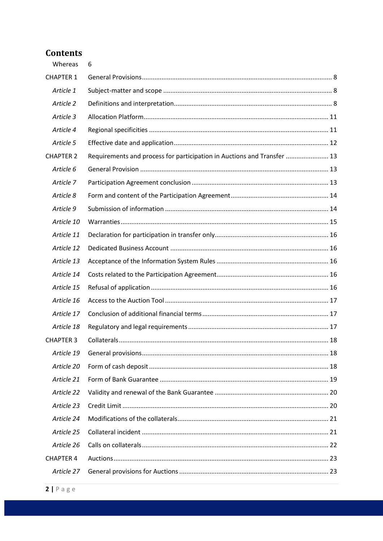# **Contents**

| Whereas          | 6                                                                       |  |
|------------------|-------------------------------------------------------------------------|--|
| <b>CHAPTER 1</b> |                                                                         |  |
| Article 1        |                                                                         |  |
| Article 2        |                                                                         |  |
| Article 3        |                                                                         |  |
| Article 4        |                                                                         |  |
| Article 5        |                                                                         |  |
| <b>CHAPTER 2</b> | Requirements and process for participation in Auctions and Transfer  13 |  |
| Article 6        |                                                                         |  |
| Article 7        |                                                                         |  |
| Article 8        |                                                                         |  |
| Article 9        |                                                                         |  |
| Article 10       |                                                                         |  |
| Article 11       |                                                                         |  |
| Article 12       |                                                                         |  |
| Article 13       |                                                                         |  |
| Article 14       |                                                                         |  |
| Article 15       |                                                                         |  |
| Article 16       |                                                                         |  |
| Article 17       |                                                                         |  |
| Article 18       |                                                                         |  |
| <b>CHAPTER 3</b> |                                                                         |  |
| Article 19       |                                                                         |  |
| Article 20       |                                                                         |  |
| Article 21       |                                                                         |  |
| Article 22       |                                                                         |  |
| Article 23       |                                                                         |  |
| Article 24       |                                                                         |  |
| Article 25       |                                                                         |  |
| Article 26       |                                                                         |  |
| <b>CHAPTER 4</b> |                                                                         |  |
| Article 27       |                                                                         |  |
|                  |                                                                         |  |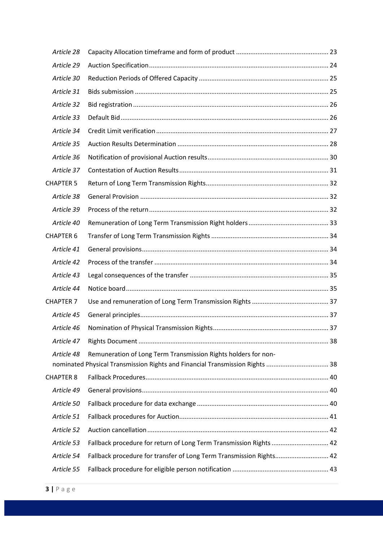| Article 28       |                                                                                                                                                |  |
|------------------|------------------------------------------------------------------------------------------------------------------------------------------------|--|
| Article 29       |                                                                                                                                                |  |
| Article 30       |                                                                                                                                                |  |
| Article 31       |                                                                                                                                                |  |
| Article 32       |                                                                                                                                                |  |
| Article 33       |                                                                                                                                                |  |
| Article 34       |                                                                                                                                                |  |
| Article 35       |                                                                                                                                                |  |
| Article 36       |                                                                                                                                                |  |
| Article 37       |                                                                                                                                                |  |
| <b>CHAPTER 5</b> |                                                                                                                                                |  |
| Article 38       |                                                                                                                                                |  |
| Article 39       |                                                                                                                                                |  |
| Article 40       |                                                                                                                                                |  |
| <b>CHAPTER 6</b> |                                                                                                                                                |  |
| Article 41       |                                                                                                                                                |  |
| Article 42       |                                                                                                                                                |  |
| Article 43       |                                                                                                                                                |  |
| Article 44       |                                                                                                                                                |  |
| <b>CHAPTER 7</b> |                                                                                                                                                |  |
| Article 45       |                                                                                                                                                |  |
| Article 46       |                                                                                                                                                |  |
| Article 47       |                                                                                                                                                |  |
| Article 48       | Remuneration of Long Term Transmission Rights holders for non-<br>nominated Physical Transmission Rights and Financial Transmission Rights  38 |  |
| <b>CHAPTER 8</b> |                                                                                                                                                |  |
| Article 49       |                                                                                                                                                |  |
| Article 50       |                                                                                                                                                |  |
| Article 51       |                                                                                                                                                |  |
| Article 52       |                                                                                                                                                |  |
| Article 53       | Fallback procedure for return of Long Term Transmission Rights  42                                                                             |  |
| Article 54       | Fallback procedure for transfer of Long Term Transmission Rights 42                                                                            |  |
| Article 55       |                                                                                                                                                |  |
|                  |                                                                                                                                                |  |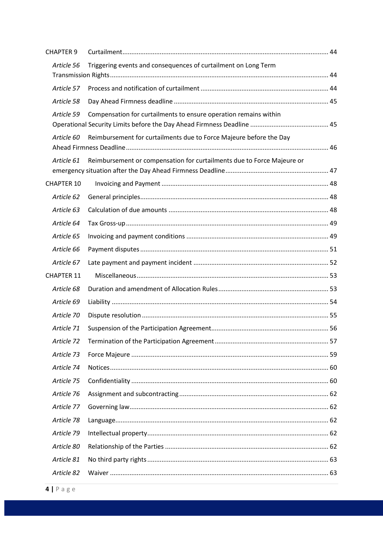| <b>CHAPTER 9</b>  |                                                                        |  |
|-------------------|------------------------------------------------------------------------|--|
| Article 56        | Triggering events and consequences of curtailment on Long Term         |  |
| Article 57        |                                                                        |  |
| Article 58        |                                                                        |  |
| Article 59        | Compensation for curtailments to ensure operation remains within       |  |
|                   |                                                                        |  |
| Article 60        | Reimbursement for curtailments due to Force Majeure before the Day     |  |
| Article 61        | Reimbursement or compensation for curtailments due to Force Majeure or |  |
| <b>CHAPTER 10</b> |                                                                        |  |
| Article 62        |                                                                        |  |
| Article 63        |                                                                        |  |
| Article 64        |                                                                        |  |
| Article 65        |                                                                        |  |
| Article 66        |                                                                        |  |
| Article 67        |                                                                        |  |
| <b>CHAPTER 11</b> |                                                                        |  |
| Article 68        |                                                                        |  |
| Article 69        |                                                                        |  |
| Article 70        |                                                                        |  |
| Article 71        |                                                                        |  |
| Article 72        |                                                                        |  |
| Article 73        |                                                                        |  |
| Article 74        |                                                                        |  |
| Article 75        |                                                                        |  |
| Article 76        |                                                                        |  |
| Article 77        |                                                                        |  |
| Article 78        |                                                                        |  |
| Article 79        |                                                                        |  |
| Article 80        |                                                                        |  |
| Article 81        |                                                                        |  |
| Article 82        |                                                                        |  |
|                   |                                                                        |  |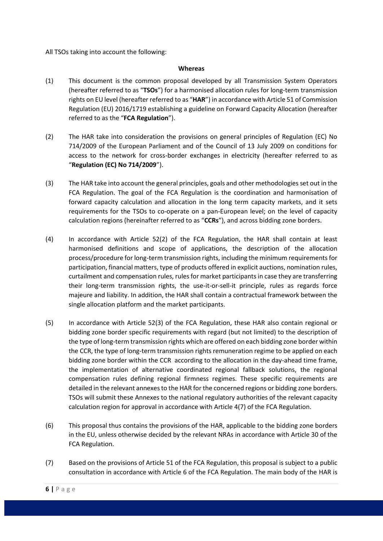All TSOs taking into account the following:

#### **Whereas**

- <span id="page-5-0"></span>(1) This document is the common proposal developed by all Transmission System Operators (hereafter referred to as "**TSOs**") for a harmonised allocation rules for long-term transmission rights on EU level (hereafter referred to as "**HAR**") in accordance with Article 51 of Commission Regulation (EU) 2016/1719 establishing a guideline on Forward Capacity Allocation (hereafter referred to as the "**FCA Regulation**").
- (2) The HAR take into consideration the provisions on general principles of Regulation (EC) No 714/2009 of the European Parliament and of the Council of 13 July 2009 on conditions for access to the network for cross-border exchanges in electricity (hereafter referred to as "**Regulation (EC) No 714/2009**").
- (3) The HAR take into account the general principles, goals and other methodologies set out in the FCA Regulation. The goal of the FCA Regulation is the coordination and harmonisation of forward capacity calculation and allocation in the long term capacity markets, and it sets requirements for the TSOs to co-operate on a pan-European level; on the level of capacity calculation regions (hereinafter referred to as "**CCRs**"), and across bidding zone borders.
- (4) In accordance with Article 52(2) of the FCA Regulation, the HAR shall contain at least harmonised definitions and scope of applications, the description of the allocation process/procedure for long-term transmission rights, including the minimum requirements for participation, financial matters, type of products offered in explicit auctions, nomination rules, curtailment and compensation rules, rules for market participants in case they are transferring their long-term transmission rights, the use-it-or-sell-it principle, rules as regards force majeure and liability. In addition, the HAR shall contain a contractual framework between the single allocation platform and the market participants.
- (5) In accordance with Article 52(3) of the FCA Regulation, these HAR also contain regional or bidding zone border specific requirements with regard (but not limited) to the description of the type of long-term transmission rights which are offered on each bidding zone border within the CCR, the type of long-term transmission rights remuneration regime to be applied on each bidding zone border within the CCR according to the allocation in the day-ahead time frame, the implementation of alternative coordinated regional fallback solutions, the regional compensation rules defining regional firmness regimes. These specific requirements are detailed in the relevant annexes to the HAR for the concerned regions or bidding zone borders. TSOs will submit these Annexes to the national regulatory authorities of the relevant capacity calculation region for approval in accordance with Article 4(7) of the FCA Regulation.
- (6) This proposal thus contains the provisions of the HAR, applicable to the bidding zone borders in the EU, unless otherwise decided by the relevant NRAs in accordance with Article 30 of the FCA Regulation.
- (7) Based on the provisions of Article 51 of the FCA Regulation, this proposal is subject to a public consultation in accordance with Article 6 of the FCA Regulation. The main body of the HAR is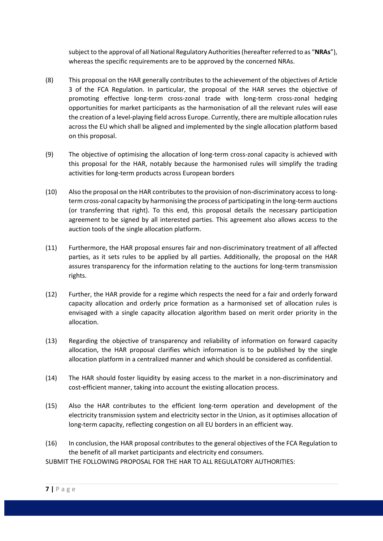subject to the approval of all National Regulatory Authorities (hereafter referred to as "**NRAs**"), whereas the specific requirements are to be approved by the concerned NRAs.

- (8) This proposal on the HAR generally contributes to the achievement of the objectives of Article 3 of the FCA Regulation. In particular, the proposal of the HAR serves the objective of promoting effective long-term cross-zonal trade with long-term cross-zonal hedging opportunities for market participants as the harmonisation of all the relevant rules will ease the creation of a level-playing field across Europe. Currently, there are multiple allocation rules across the EU which shall be aligned and implemented by the single allocation platform based on this proposal.
- (9) The objective of optimising the allocation of long-term cross-zonal capacity is achieved with this proposal for the HAR, notably because the harmonised rules will simplify the trading activities for long-term products across European borders
- (10) Also the proposal on the HAR contributes to the provision of non-discriminatory access to longterm cross-zonal capacity by harmonising the process of participating in the long-term auctions (or transferring that right). To this end, this proposal details the necessary participation agreement to be signed by all interested parties. This agreement also allows access to the auction tools of the single allocation platform.
- (11) Furthermore, the HAR proposal ensures fair and non-discriminatory treatment of all affected parties, as it sets rules to be applied by all parties. Additionally, the proposal on the HAR assures transparency for the information relating to the auctions for long-term transmission rights.
- (12) Further, the HAR provide for a regime which respects the need for a fair and orderly forward capacity allocation and orderly price formation as a harmonised set of allocation rules is envisaged with a single capacity allocation algorithm based on merit order priority in the allocation.
- (13) Regarding the objective of transparency and reliability of information on forward capacity allocation, the HAR proposal clarifies which information is to be published by the single allocation platform in a centralized manner and which should be considered as confidential.
- (14) The HAR should foster liquidity by easing access to the market in a non-discriminatory and cost-efficient manner, taking into account the existing allocation process.
- (15) Also the HAR contributes to the efficient long-term operation and development of the electricity transmission system and electricity sector in the Union, as it optimises allocation of long-term capacity, reflecting congestion on all EU borders in an efficient way.
- (16) In conclusion, the HAR proposal contributes to the general objectives of the FCA Regulation to the benefit of all market participants and electricity end consumers.

SUBMIT THE FOLLOWING PROPOSAL FOR THE HAR TO ALL REGULATORY AUTHORITIES: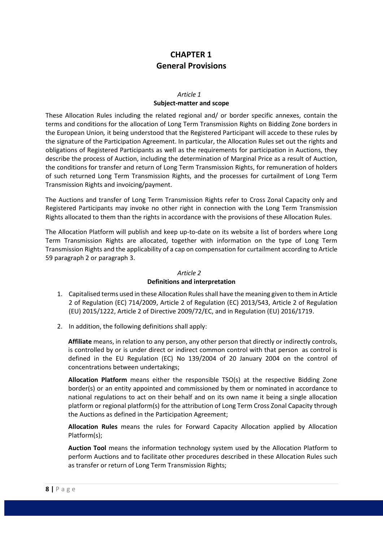# **CHAPTER 1 General Provisions**

### *Article 1* **Subject-matter and scope**

<span id="page-7-1"></span><span id="page-7-0"></span>These Allocation Rules including the related regional and/ or border specific annexes, contain the terms and conditions for the allocation of Long Term Transmission Rights on Bidding Zone borders in the European Union*,* it being understood that the Registered Participant will accede to these rules by the signature of the Participation Agreement. In particular, the Allocation Rules set out the rights and obligations of Registered Participants as well as the requirements for participation in Auctions, they describe the process of Auction, including the determination of Marginal Price as a result of Auction, the conditions for transfer and return of Long Term Transmission Rights, for remuneration of holders of such returned Long Term Transmission Rights, and the processes for curtailment of Long Term Transmission Rights and invoicing/payment.

The Auctions and transfer of Long Term Transmission Rights refer to Cross Zonal Capacity only and Registered Participants may invoke no other right in connection with the Long Term Transmission Rights allocated to them than the rights in accordance with the provisions of these Allocation Rules.

The Allocation Platform will publish and keep up-to-date on its website a list of borders where Long Term Transmission Rights are allocated, together with information on the type of Long Term Transmission Rights and the applicability of a cap on compensation for curtailment according to Article 59 paragraph 2 or paragraph 3.

# *Article 2* **Definitions and interpretation**

- <span id="page-7-2"></span>1. Capitalised terms used in these Allocation Rules shall have the meaning given to them in Article 2 of Regulation (EC) 714/2009, Article 2 of Regulation (EC) 2013/543, Article 2 of Regulation (EU) 2015/1222, Article 2 of Directive 2009/72/EC, and in Regulation (EU) 2016/1719.
- 2. In addition, the following definitions shall apply:

**Affiliate** means, in relation to any person, any other person that directly or indirectly controls, is controlled by or is under direct or indirect common control with that person as control is defined in the EU Regulation (EC) No 139/2004 of 20 January 2004 on the control of concentrations between undertakings;

**Allocation Platform** means either the responsible TSO(s) at the respective Bidding Zone border(s) or an entity appointed and commissioned by them or nominated in accordance to national regulations to act on their behalf and on its own name it being a single allocation platform or regional platform(s) for the attribution of Long Term Cross Zonal Capacity through the Auctions as defined in the Participation Agreement;

**Allocation Rules** means the rules for Forward Capacity Allocation applied by Allocation Platform(s);

**Auction Tool** means the information technology system used by the Allocation Platform to perform Auctions and to facilitate other procedures described in these Allocation Rules such as transfer or return of Long Term Transmission Rights;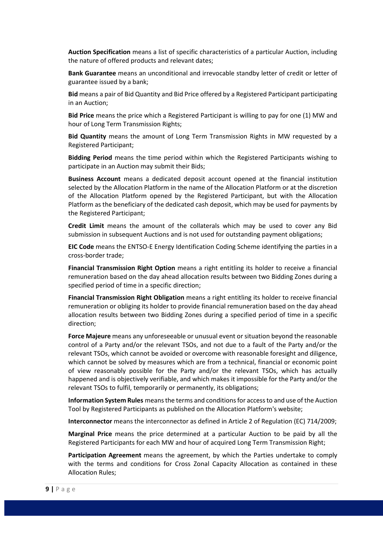**Auction Specification** means a list of specific characteristics of a particular Auction, including the nature of offered products and relevant dates;

**Bank Guarantee** means an unconditional and irrevocable standby letter of credit or letter of guarantee issued by a bank;

**Bid** means a pair of Bid Quantity and Bid Price offered by a Registered Participant participating in an Auction;

**Bid Price** means the price which a Registered Participant is willing to pay for one (1) MW and hour of Long Term Transmission Rights;

**Bid Quantity** means the amount of Long Term Transmission Rights in MW requested by a Registered Participant;

**Bidding Period** means the time period within which the Registered Participants wishing to participate in an Auction may submit their Bids;

**Business Account** means a dedicated deposit account opened at the financial institution selected by the Allocation Platform in the name of the Allocation Platform or at the discretion of the Allocation Platform opened by the Registered Participant, but with the Allocation Platform as the beneficiary of the dedicated cash deposit, which may be used for payments by the Registered Participant;

**Credit Limit** means the amount of the collaterals which may be used to cover any Bid submission in subsequent Auctions and is not used for outstanding payment obligations;

**EIC Code** means the ENTSO-E Energy Identification Coding Scheme identifying the parties in a cross-border trade;

**Financial Transmission Right Option** means a right entitling its holder to receive a financial remuneration based on the day ahead allocation results between two Bidding Zones during a specified period of time in a specific direction;

**Financial Transmission Right Obligation** means a right entitling its holder to receive financial remuneration or obliging its holder to provide financial remuneration based on the day ahead allocation results between two Bidding Zones during a specified period of time in a specific direction;

**Force Majeure** means any unforeseeable or unusual event or situation beyond the reasonable control of a Party and/or the relevant TSOs, and not due to a fault of the Party and/or the relevant TSOs, which cannot be avoided or overcome with reasonable foresight and diligence, which cannot be solved by measures which are from a technical, financial or economic point of view reasonably possible for the Party and/or the relevant TSOs, which has actually happened and is objectively verifiable, and which makes it impossible for the Party and/or the relevant TSOs to fulfil, temporarily or permanently, its obligations;

**Information System Rules** means the terms and conditions for access to and use of the Auction Tool by Registered Participants as published on the Allocation Platform's website;

**Interconnector** means the interconnector as defined in Article 2 of Regulation (EC) 714/2009;

**Marginal Price** means the price determined at a particular Auction to be paid by all the Registered Participants for each MW and hour of acquired Long Term Transmission Right;

**Participation Agreement** means the agreement, by which the Parties undertake to comply with the terms and conditions for Cross Zonal Capacity Allocation as contained in these Allocation Rules;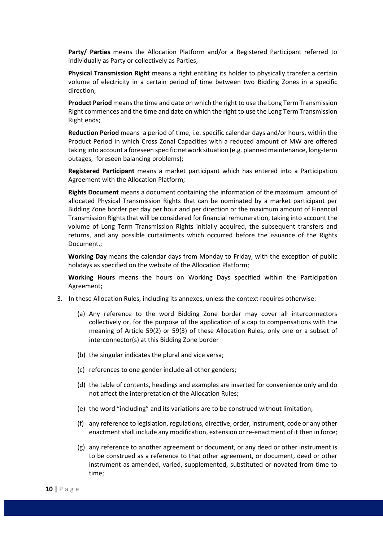**Party/ Parties** means the Allocation Platform and/or a Registered Participant referred to individually as Party or collectively as Parties;

**Physical Transmission Right** means a right entitling its holder to physically transfer a certain volume of electricity in a certain period of time between two Bidding Zones in a specific direction;

**Product Period** means the time and date on which the right to use the Long Term Transmission Right commences and the time and date on which the right to use the Long Term Transmission Right ends;

**Reduction Period** means a period of time, i.e. specific calendar days and/or hours, within the Product Period in which Cross Zonal Capacities with a reduced amount of MW are offered taking into account a foreseen specific network situation (e.g. planned maintenance, long-term outages, foreseen balancing problems);

**Registered Participant** means a market participant which has entered into a Participation Agreement with the Allocation Platform;

**Rights Document** means a document containing the information of the maximum amount of allocated Physical Transmission Rights that can be nominated by a market participant per Bidding Zone border per day per hour and per direction or the maximum amount of Financial Transmission Rights that will be considered for financial remuneration, taking into account the volume of Long Term Transmission Rights initially acquired, the subsequent transfers and returns, and any possible curtailments which occurred before the issuance of the Rights Document.;

**Working Day** means the calendar days from Monday to Friday, with the exception of public holidays as specified on the website of the Allocation Platform;

**Working Hours** means the hours on Working Days specified within the Participation Agreement;

- 3. In these Allocation Rules, including its annexes, unless the context requires otherwise:
	- (a) Any reference to the word Bidding Zone border may cover all interconnectors collectively or, for the purpose of the application of a cap to compensations with the meaning of Article 59(2) or 59(3) of these Allocation Rules, only one or a subset of interconnector(s) at this Bidding Zone border
	- (b) the singular indicates the plural and vice versa;
	- (c) references to one gender include all other genders;
	- (d) the table of contents, headings and examples are inserted for convenience only and do not affect the interpretation of the Allocation Rules;
	- (e) the word "including" and its variations are to be construed without limitation;
	- (f) any reference to legislation, regulations, directive, order, instrument, code or any other enactment shall include any modification, extension or re-enactment of it then in force;
	- (g) any reference to another agreement or document, or any deed or other instrument is to be construed as a reference to that other agreement, or document, deed or other instrument as amended, varied, supplemented, substituted or novated from time to time;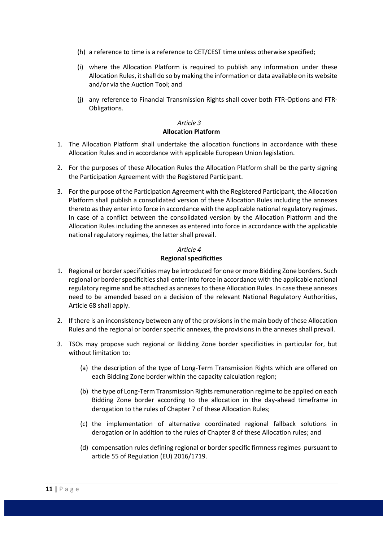- (h) a reference to time is a reference to CET/CEST time unless otherwise specified;
- (i) where the Allocation Platform is required to publish any information under these Allocation Rules, it shall do so by making the information or data available on its website and/or via the Auction Tool; and
- (j) any reference to Financial Transmission Rights shall cover both FTR-Options and FTR-Obligations.

#### *Article 3* **Allocation Platform**

- <span id="page-10-0"></span>1. The Allocation Platform shall undertake the allocation functions in accordance with these Allocation Rules and in accordance with applicable European Union legislation.
- 2. For the purposes of these Allocation Rules the Allocation Platform shall be the party signing the Participation Agreement with the Registered Participant.
- 3. For the purpose of the Participation Agreement with the Registered Participant, the Allocation Platform shall publish a consolidated version of these Allocation Rules including the annexes thereto as they enter into force in accordance with the applicable national regulatory regimes. In case of a conflict between the consolidated version by the Allocation Platform and the Allocation Rules including the annexes as entered into force in accordance with the applicable national regulatory regimes, the latter shall prevail.

### *Article 4* **Regional specificities**

- <span id="page-10-1"></span>1. Regional or border specificities may be introduced for one or more Bidding Zone borders. Such regional or border specificities shall enter into force in accordance with the applicable national regulatory regime and be attached as annexes to these Allocation Rules. In case these annexes need to be amended based on a decision of the relevant National Regulatory Authorities, [Article 68](#page-52-1) shall apply.
- 2. If there is an inconsistency between any of the provisions in the main body of these Allocation Rules and the regional or border specific annexes, the provisions in the annexes shall prevail.
- 3. TSOs may propose such regional or Bidding Zone border specificities in particular for, but without limitation to:
	- (a) the description of the type of Long-Term Transmission Rights which are offered on each Bidding Zone border within the capacity calculation region;
	- (b) the type of Long-Term Transmission Rights remuneration regime to be applied on each Bidding Zone border according to the allocation in the day-ahead timeframe in derogation to the rules of Chapter 7 of these Allocation Rules;
	- (c) the implementation of alternative coordinated regional fallback solutions in derogation or in addition to the rules of Chapter 8 of these Allocation rules; and
	- (d) compensation rules defining regional or border specific firmness regimes pursuant to article 55 of Regulation (EU) 2016/1719.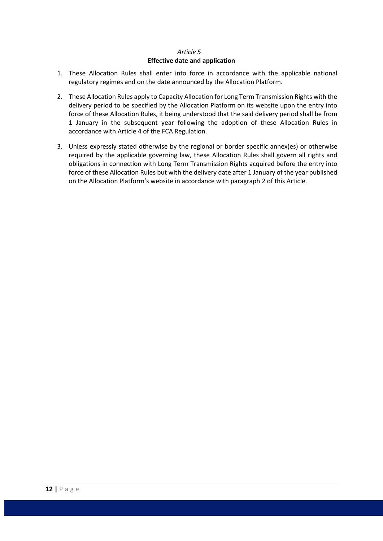# *Article 5* **Effective date and application**

- <span id="page-11-0"></span>1. These Allocation Rules shall enter into force in accordance with the applicable national regulatory regimes and on the date announced by the Allocation Platform.
- 2. These Allocation Rules apply to Capacity Allocation for Long Term Transmission Rights with the delivery period to be specified by the Allocation Platform on its website upon the entry into force of these Allocation Rules, it being understood that the said delivery period shall be from 1 January in the subsequent year following the adoption of these Allocation Rules in accordance with Article 4 of the FCA Regulation.
- 3. Unless expressly stated otherwise by the regional or border specific annex(es) or otherwise required by the applicable governing law, these Allocation Rules shall govern all rights and obligations in connection with Long Term Transmission Rights acquired before the entry into force of these Allocation Rules but with the delivery date after 1 January of the year published on the Allocation Platform's website in accordance with paragraph 2 of this Article.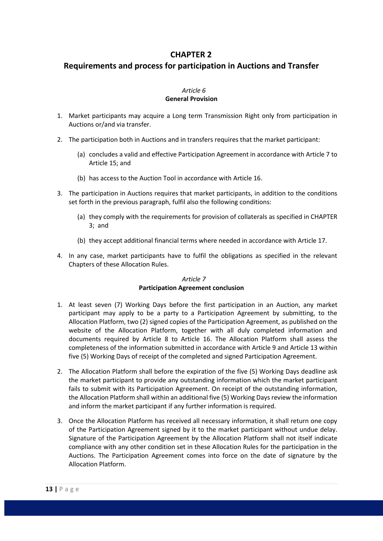# **CHAPTER 2**

# <span id="page-12-0"></span>**Requirements and process for participation in Auctions and Transfer**

#### *Article 6* **General Provision**

- <span id="page-12-1"></span>1. Market participants may acquire a Long term Transmission Right only from participation in Auctions or/and via transfer.
- 2. The participation both in Auctions and in transfers requires that the market participant:
	- (a) concludes a valid and effective Participation Agreement in accordance wit[h Article 7](#page-12-2) to [Article 15;](#page-15-4) and
	- (b) has access to the Auction Tool in accordance wit[h Article 16.](#page-16-0)
- 3. The participation in Auctions requires that market participants, in addition to the conditions set forth in the previous paragraph, fulfil also the following conditions:
	- (a) they comply with the requirements for provision of collaterals as specified in CHAPTER 3; and
	- (b) they accept additional financial terms where needed in accordance with [Article 17.](#page-16-1)
- 4. In any case, market participants have to fulfil the obligations as specified in the relevant Chapters of these Allocation Rules.

# *Article 7* **Participation Agreement conclusion**

- <span id="page-12-2"></span>1. At least seven (7) Working Days before the first participation in an Auction, any market participant may apply to be a party to a Participation Agreement by submitting, to the Allocation Platform, two (2) signed copies of the Participation Agreement, as published on the website of the Allocation Platform, together with all duly completed information and documents required by [Article 8](#page-13-0) to [Article 16.](#page-16-0) The Allocation Platform shall assess the completeness of the information submitted in accordance with [Article 9](#page-13-1) and [Article 13](#page-15-2) within five (5) Working Days of receipt of the completed and signed Participation Agreement.
- 2. The Allocation Platform shall before the expiration of the five (5) Working Days deadline ask the market participant to provide any outstanding information which the market participant fails to submit with its Participation Agreement. On receipt of the outstanding information, the Allocation Platform shall within an additional five (5) Working Days review the information and inform the market participant if any further information is required.
- 3. Once the Allocation Platform has received all necessary information, it shall return one copy of the Participation Agreement signed by it to the market participant without undue delay. Signature of the Participation Agreement by the Allocation Platform shall not itself indicate compliance with any other condition set in these Allocation Rules for the participation in the Auctions. The Participation Agreement comes into force on the date of signature by the Allocation Platform.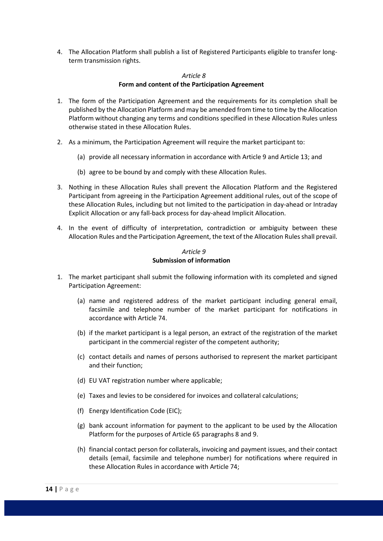4. The Allocation Platform shall publish a list of Registered Participants eligible to transfer longterm transmission rights.

#### *Article 8*

#### **Form and content of the Participation Agreement**

- <span id="page-13-0"></span>1. The form of the Participation Agreement and the requirements for its completion shall be published by the Allocation Platform and may be amended from time to time by the Allocation Platform without changing any terms and conditions specified in these Allocation Rules unless otherwise stated in these Allocation Rules.
- 2. As a minimum, the Participation Agreement will require the market participant to:
	- (a) provide all necessary information in accordance with [Article 9](#page-13-1) and [Article 13;](#page-15-2) and
	- (b) agree to be bound by and comply with these Allocation Rules.
- 3. Nothing in these Allocation Rules shall prevent the Allocation Platform and the Registered Participant from agreeing in the Participation Agreement additional rules, out of the scope of these Allocation Rules, including but not limited to the participation in day-ahead or Intraday Explicit Allocation or any fall-back process for day-ahead Implicit Allocation.
- 4. In the event of difficulty of interpretation, contradiction or ambiguity between these Allocation Rules and the Participation Agreement, the text of the Allocation Rules shall prevail.

### *Article 9* **Submission of information**

- <span id="page-13-1"></span>1. The market participant shall submit the following information with its completed and signed Participation Agreement:
	- (a) name and registered address of the market participant including general email, facsimile and telephone number of the market participant for notifications in accordance with [Article 74.](#page-59-0)
	- (b) if the market participant is a legal person, an extract of the registration of the market participant in the commercial register of the competent authority;
	- (c) contact details and names of persons authorised to represent the market participant and their function;
	- (d) EU VAT registration number where applicable;
	- (e) Taxes and levies to be considered for invoices and collateral calculations;
	- (f) Energy Identification Code (EIC);
	- (g) bank account information for payment to the applicant to be used by the Allocation Platform for the purposes of [Article 65](#page-48-1) paragraphs 8 and 9.
	- (h) financial contact person for collaterals, invoicing and payment issues, and their contact details (email, facsimile and telephone number) for notifications where required in these Allocation Rules in accordance wit[h Article 74;](#page-59-0)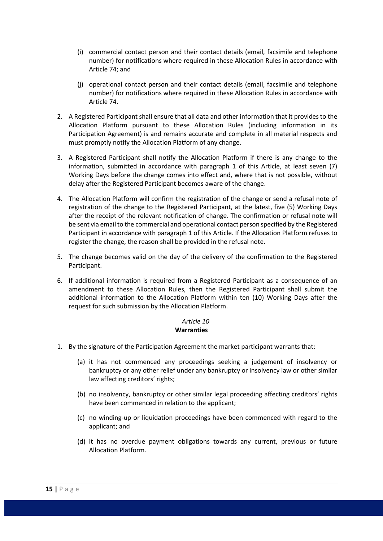- (i) commercial contact person and their contact details (email, facsimile and telephone number) for notifications where required in these Allocation Rules in accordance with [Article 74;](#page-59-0) and
- (j) operational contact person and their contact details (email, facsimile and telephone number) for notifications where required in these Allocation Rules in accordance with [Article 74.](#page-59-0)
- 2. A Registered Participant shall ensure that all data and other information that it provides to the Allocation Platform pursuant to these Allocation Rules (including information in its Participation Agreement) is and remains accurate and complete in all material respects and must promptly notify the Allocation Platform of any change.
- 3. A Registered Participant shall notify the Allocation Platform if there is any change to the information, submitted in accordance with paragraph 1 of this Article, at least seven (7) Working Days before the change comes into effect and, where that is not possible, without delay after the Registered Participant becomes aware of the change.
- 4. The Allocation Platform will confirm the registration of the change or send a refusal note of registration of the change to the Registered Participant, at the latest, five (5) Working Days after the receipt of the relevant notification of change. The confirmation or refusal note will be sent via email to the commercial and operational contact person specified by the Registered Participant in accordance with paragraph 1 of this Article. If the Allocation Platform refuses to register the change, the reason shall be provided in the refusal note.
- 5. The change becomes valid on the day of the delivery of the confirmation to the Registered Participant.
- 6. If additional information is required from a Registered Participant as a consequence of an amendment to these Allocation Rules, then the Registered Participant shall submit the additional information to the Allocation Platform within ten (10) Working Days after the request for such submission by the Allocation Platform.

#### *Article 10* **Warranties**

- <span id="page-14-0"></span>1. By the signature of the Participation Agreement the market participant warrants that:
	- (a) it has not commenced any proceedings seeking a judgement of insolvency or bankruptcy or any other relief under any bankruptcy or insolvency law or other similar law affecting creditors' rights;
	- (b) no insolvency, bankruptcy or other similar legal proceeding affecting creditors' rights have been commenced in relation to the applicant;
	- (c) no winding-up or liquidation proceedings have been commenced with regard to the applicant; and
	- (d) it has no overdue payment obligations towards any current, previous or future Allocation Platform.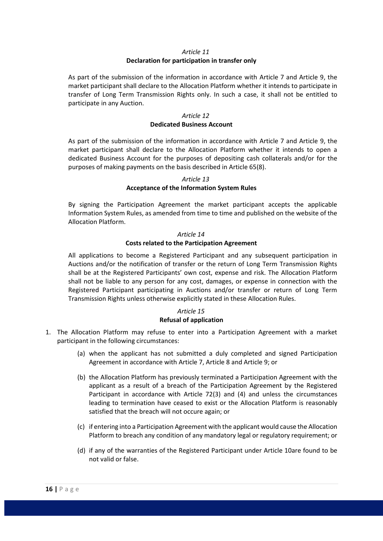#### *Article 11* **Declaration for participation in transfer only**

<span id="page-15-0"></span>As part of the submission of the information in accordance with [Article 7](#page-12-2) and [Article 9,](#page-13-1) the market participant shall declare to the Allocation Platform whether it intends to participate in transfer of Long Term Transmission Rights only. In such a case, it shall not be entitled to participate in any Auction.

#### *Article 12* **Dedicated Business Account**

<span id="page-15-1"></span>As part of the submission of the information in accordance with [Article 7](#page-12-2) and [Article 9,](#page-13-1) the market participant shall declare to the Allocation Platform whether it intends to open a dedicated Business Account for the purposes of depositing cash collaterals and/or for the purposes of making payments on the basis described in [Article 65\(](#page-48-1)8).

#### *Article 13* **Acceptance of the Information System Rules**

<span id="page-15-2"></span>By signing the Participation Agreement the market participant accepts the applicable Information System Rules, as amended from time to time and published on the website of the Allocation Platform.

# *Article 14*

# **Costs related to the Participation Agreement**

<span id="page-15-3"></span>All applications to become a Registered Participant and any subsequent participation in Auctions and/or the notification of transfer or the return of Long Term Transmission Rights shall be at the Registered Participants' own cost, expense and risk. The Allocation Platform shall not be liable to any person for any cost, damages, or expense in connection with the Registered Participant participating in Auctions and/or transfer or return of Long Term Transmission Rights unless otherwise explicitly stated in these Allocation Rules.

# *Article 15*

# **Refusal of application**

- <span id="page-15-4"></span>1. The Allocation Platform may refuse to enter into a Participation Agreement with a market participant in the following circumstances:
	- (a) when the applicant has not submitted a duly completed and signed Participation Agreement in accordance wit[h Article 7,](#page-12-2) [Article 8](#page-13-0) and [Article 9;](#page-13-1) or
	- (b) the Allocation Platform has previously terminated a Participation Agreement with the applicant as a result of a breach of the Participation Agreement by the Registered Participant in accordance with [Article 72\(](#page-56-0)3) and (4) and unless the circumstances leading to termination have ceased to exist or the Allocation Platform is reasonably satisfied that the breach will not occure again; or
	- (c) if entering into a Participation Agreement with the applicant would cause the Allocation Platform to breach any condition of any mandatory legal or regulatory requirement; or
	- (d) if any of the warranties of the Registered Participant under [Article 10a](#page-14-0)re found to be not valid or false.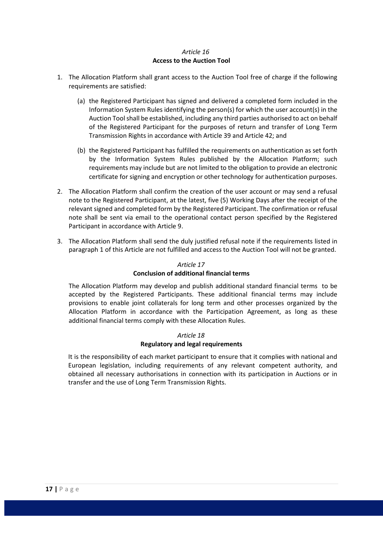# *Article 16* **Access to the Auction Tool**

- <span id="page-16-0"></span>1. The Allocation Platform shall grant access to the Auction Tool free of charge if the following requirements are satisfied:
	- (a) the Registered Participant has signed and delivered a completed form included in the Information System Rules identifying the person(s) for which the user account(s) in the Auction Tool shall be established, including any third parties authorised to act on behalf of the Registered Participant for the purposes of return and transfer of Long Term Transmission Rights in accordance with [Article 39](#page-31-2) an[d Article 42;](#page-33-2) and
	- (b) the Registered Participant has fulfilled the requirements on authentication as set forth by the Information System Rules published by the Allocation Platform; such requirements may include but are not limited to the obligation to provide an electronic certificate for signing and encryption or other technology for authentication purposes.
- 2. The Allocation Platform shall confirm the creation of the user account or may send a refusal note to the Registered Participant, at the latest, five (5) Working Days after the receipt of the relevant signed and completed form by the Registered Participant. The confirmation or refusal note shall be sent via email to the operational contact person specified by the Registered Participant in accordance with [Article 9.](#page-13-1)
- 3. The Allocation Platform shall send the duly justified refusal note if the requirements listed in paragraph 1 of this Article are not fulfilled and access to the Auction Tool will not be granted.

#### *Article 17* **Conclusion of additional financial terms**

<span id="page-16-1"></span>The Allocation Platform may develop and publish additional standard financial terms to be accepted by the Registered Participants. These additional financial terms may include provisions to enable joint collaterals for long term and other processes organized by the Allocation Platform in accordance with the Participation Agreement, as long as these additional financial terms comply with these Allocation Rules.

#### *Article 18* **Regulatory and legal requirements**

<span id="page-16-2"></span>It is the responsibility of each market participant to ensure that it complies with national and European legislation, including requirements of any relevant competent authority, and obtained all necessary authorisations in connection with its participation in Auctions or in transfer and the use of Long Term Transmission Rights.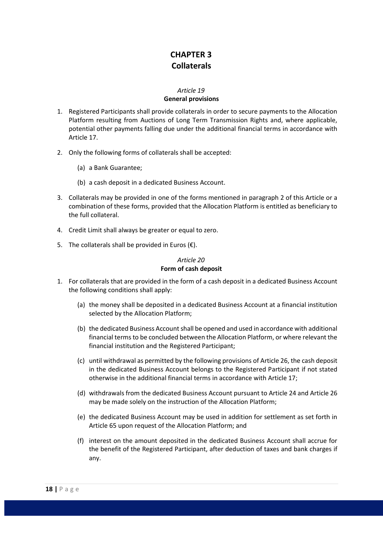# **CHAPTER 3 Collaterals**

#### *Article 19* **General provisions**

- <span id="page-17-1"></span><span id="page-17-0"></span>1. Registered Participants shall provide collaterals in order to secure payments to the Allocation Platform resulting from Auctions of Long Term Transmission Rights and, where applicable, potential other payments falling due under the additional financial terms in accordance with [Article 17.](#page-16-1)
- 2. Only the following forms of collaterals shall be accepted:
	- (a) a Bank Guarantee;
	- (b) a cash deposit in a dedicated Business Account.
- 3. Collaterals may be provided in one of the forms mentioned in paragraph 2 of this Article or a combination of these forms, provided that the Allocation Platform is entitled as beneficiary to the full collateral.
- 4. Credit Limit shall always be greater or equal to zero.
- 5. The collaterals shall be provided in Euros  $(\epsilon)$ .

# *Article 20* **Form of cash deposit**

- <span id="page-17-2"></span>1. For collaterals that are provided in the form of a cash deposit in a dedicated Business Account the following conditions shall apply:
	- (a) the money shall be deposited in a dedicated Business Account at a financial institution selected by the Allocation Platform;
	- (b) the dedicated Business Account shall be opened and used in accordance with additional financial terms to be concluded between the Allocation Platform, or where relevant the financial institution and the Registered Participant;
	- (c) until withdrawal as permitted by the following provisions o[f Article 26,](#page-21-0) the cash deposit in the dedicated Business Account belongs to the Registered Participant if not stated otherwise in the additional financial terms in accordance wit[h Article 17;](#page-16-1)
	- (d) withdrawals from the dedicated Business Account pursuant to [Article 24](#page-20-0) and [Article 26](#page-21-0) may be made solely on the instruction of the Allocation Platform;
	- (e) the dedicated Business Account may be used in addition for settlement as set forth in [Article 65](#page-48-1) upon request of the Allocation Platform; and
	- (f) interest on the amount deposited in the dedicated Business Account shall accrue for the benefit of the Registered Participant, after deduction of taxes and bank charges if any.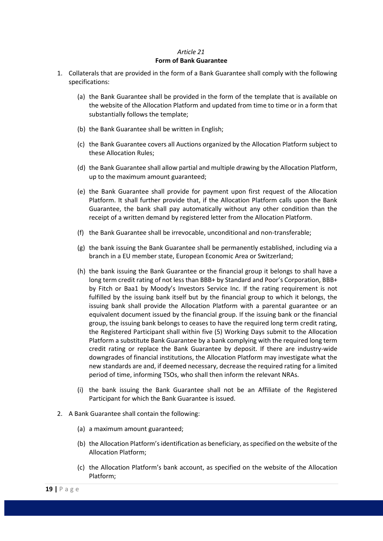### *Article 21* **Form of Bank Guarantee**

- <span id="page-18-0"></span>1. Collaterals that are provided in the form of a Bank Guarantee shall comply with the following specifications:
	- (a) the Bank Guarantee shall be provided in the form of the template that is available on the website of the Allocation Platform and updated from time to time or in a form that substantially follows the template;
	- (b) the Bank Guarantee shall be written in English;
	- (c) the Bank Guarantee covers all Auctions organized by the Allocation Platform subject to these Allocation Rules;
	- (d) the Bank Guarantee shall allow partial and multiple drawing by the Allocation Platform, up to the maximum amount guaranteed;
	- (e) the Bank Guarantee shall provide for payment upon first request of the Allocation Platform. It shall further provide that, if the Allocation Platform calls upon the Bank Guarantee, the bank shall pay automatically without any other condition than the receipt of a written demand by registered letter from the Allocation Platform.
	- (f) the Bank Guarantee shall be irrevocable, unconditional and non-transferable;
	- (g) the bank issuing the Bank Guarantee shall be permanently established, including via a branch in a EU member state, European Economic Area or Switzerland;
	- (h) the bank issuing the Bank Guarantee or the financial group it belongs to shall have a long term credit rating of not less than BBB+ by Standard and Poor's Corporation, BBB+ by Fitch or Baa1 by Moody's Investors Service Inc. If the rating requirement is not fulfilled by the issuing bank itself but by the financial group to which it belongs, the issuing bank shall provide the Allocation Platform with a parental guarantee or an equivalent document issued by the financial group. If the issuing bank or the financial group, the issuing bank belongs to ceases to have the required long term credit rating, the Registered Participant shall within five (5) Working Days submit to the Allocation Platform a substitute Bank Guarantee by a bank complying with the required long term credit rating or replace the Bank Guarantee by deposit. If there are industry-wide downgrades of financial institutions, the Allocation Platform may investigate what the new standards are and, if deemed necessary, decrease the required rating for a limited period of time, informing TSOs, who shall then inform the relevant NRAs.
	- (i) the bank issuing the Bank Guarantee shall not be an Affiliate of the Registered Participant for which the Bank Guarantee is issued.
- 2. A Bank Guarantee shall contain the following:
	- (a) a maximum amount guaranteed;
	- (b) the Allocation Platform's identification as beneficiary, as specified on the website of the Allocation Platform;
	- (c) the Allocation Platform's bank account, as specified on the website of the Allocation Platform;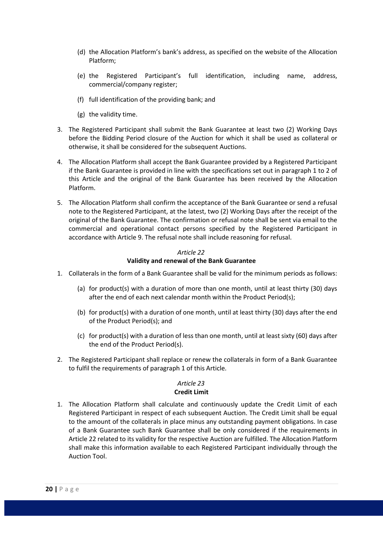- (d) the Allocation Platform's bank's address, as specified on the website of the Allocation Platform;
- (e) the Registered Participant's full identification, including name, address, commercial/company register;
- (f) full identification of the providing bank; and
- (g) the validity time.
- 3. The Registered Participant shall submit the Bank Guarantee at least two (2) Working Days before the Bidding Period closure of the Auction for which it shall be used as collateral or otherwise, it shall be considered for the subsequent Auctions.
- 4. The Allocation Platform shall accept the Bank Guarantee provided by a Registered Participant if the Bank Guarantee is provided in line with the specifications set out in paragraph 1 to 2 of this Article and the original of the Bank Guarantee has been received by the Allocation Platform.
- 5. The Allocation Platform shall confirm the acceptance of the Bank Guarantee or send a refusal note to the Registered Participant, at the latest, two (2) Working Days after the receipt of the original of the Bank Guarantee. The confirmation or refusal note shall be sent via email to the commercial and operational contact persons specified by the Registered Participant in accordance with [Article 9.](#page-13-1) The refusal note shall include reasoning for refusal.

# *Article 22* **Validity and renewal of the Bank Guarantee**

- <span id="page-19-0"></span>1. Collaterals in the form of a Bank Guarantee shall be valid for the minimum periods as follows:
	- (a) for product(s) with a duration of more than one month, until at least thirty (30) days after the end of each next calendar month within the Product Period(s);
	- (b) for product(s) with a duration of one month, until at least thirty (30) days after the end of the Product Period(s); and
	- (c) for product(s) with a duration of less than one month, until at least sixty (60) days after the end of the Product Period(s).
- 2. The Registered Participant shall replace or renew the collaterals in form of a Bank Guarantee to fulfil the requirements of paragraph 1 of this Article.

#### *Article 23* **Credit Limit**

# <span id="page-19-1"></span>1. The Allocation Platform shall calculate and continuously update the Credit Limit of each Registered Participant in respect of each subsequent Auction. The Credit Limit shall be equal to the amount of the collaterals in place minus any outstanding payment obligations. In case of a Bank Guarantee such Bank Guarantee shall be only considered if the requirements in [Article 22](#page-19-0) related to its validity for the respective Auction are fulfilled. The Allocation Platform shall make this information available to each Registered Participant individually through the Auction Tool.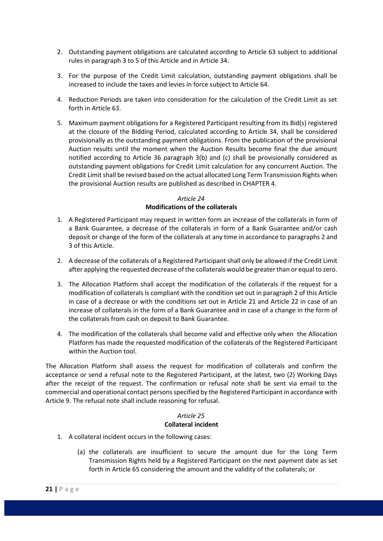- 2. Outstanding payment obligations are calculated according to [Article 63](#page-47-2) subject to additional rules in paragraph 3 to 5 of this Article and i[n Article 34.](#page-26-0)
- 3. For the purpose of the Credit Limit calculation, outstanding payment obligations shall be increased to include the taxes and levies in force subject to [Article 64.](#page-48-0)
- 4. Reduction Periods are taken into consideration for the calculation of the Credit Limit as set forth i[n Article 63.](#page-47-2)
- 5. Maximum payment obligations for a Registered Participant resulting from its Bid(s) registered at the closure of the Bidding Period, calculated according to Article 34, shall be considered provisionally as the outstanding payment obligations. From the publication of the provisional Auction results until the moment when the Auction Results become final the due amount notified according to [Article 36](#page-29-0) paragraph 3(b) and (c) shall be provisionally considered as outstanding payment obligations for Credit Limit calculation for any concurrent Auction. The Credit Limit shall be revised based on the actual allocated Long Term Transmission Rights when the provisional Auction results are published as described in CHAPTER 4.

# *Article 24* **Modifications of the collaterals**

- <span id="page-20-0"></span>1. A Registered Participant may request in written form an increase of the collaterals in form of a Bank Guarantee, a decrease of the collaterals in form of a Bank Guarantee and/or cash deposit or change of the form of the collaterals at any time in accordance to paragraphs 2 and 3 of this Article.
- 2. A decrease of the collaterals of a Registered Participant shall only be allowed if the Credit Limit after applying the requested decrease of the collaterals would be greater than or equal to zero.
- 3. The Allocation Platform shall accept the modification of the collaterals if the request for a modification of collaterals is compliant with the condition set out in paragraph 2 of this Article in case of a decrease or with the conditions set out in [Article 21](#page-18-0) and [Article 22](#page-19-0) in case of an increase of collaterals in the form of a Bank Guarantee and in case of a change in the form of the collaterals from cash on deposit to Bank Guarantee.
- 4. The modification of the collaterals shall become valid and effective only when the Allocation Platform has made the requested modification of the collaterals of the Registered Participant within the Auction tool.

The Allocation Platform shall assess the request for modification of collaterals and confirm the acceptance or send a refusal note to the Registered Participant, at the latest, two (2) Working Days after the receipt of the request. The confirmation or refusal note shall be sent via email to the commercial and operational contact persons specified by the Registered Participant in accordance with [Article 9.](#page-13-1) The refusal note shall include reasoning for refusal.

### *Article 25* **Collateral incident**

- <span id="page-20-1"></span>1. A collateral incident occurs in the following cases:
	- (a) the collaterals are insufficient to secure the amount due for the Long Term Transmission Rights held by a Registered Participant on the next payment date as set forth in [Article 65](#page-48-1) considering the amount and the validity of the collaterals; or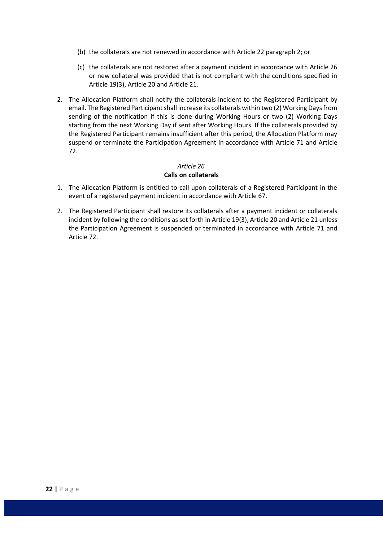- (b) the collaterals are not renewed in accordance with [Article 22](#page-19-0) paragraph 2; or
- (c) the collaterals are not restored after a payment incident in accordance with [Article 26](#page-21-0) or new collateral was provided that is not compliant with the conditions specified in [Article 19\(](#page-17-1)3)[, Article 20](#page-17-2) and [Article 21.](#page-18-0)
- 2. The Allocation Platform shall notify the collaterals incident to the Registered Participant by email. The Registered Participant shall increase its collaterals within two (2) Working Days from sending of the notification if this is done during Working Hours or two (2) Working Days starting from the next Working Day if sent after Working Hours. If the collaterals provided by the Registered Participant remains insufficient after this period, the Allocation Platform may suspend or terminate the Participation Agreement in accordance with [Article 71](#page-55-0) and [Article](#page-56-0)  [72.](#page-56-0)

#### *Article 26* **Calls on collaterals**

- <span id="page-21-0"></span>1. The Allocation Platform is entitled to call upon collaterals of a Registered Participant in the event of a registered payment incident in accordance with [Article 67.](#page-51-0)
- 2. The Registered Participant shall restore its collaterals after a payment incident or collaterals incident by following the conditions as set forth i[n Article 19\(](#page-17-1)3)[, Article 20](#page-17-2) and [Article 21](#page-18-0) unless the Participation Agreement is suspended or terminated in accordance with Article 71 and Article 72.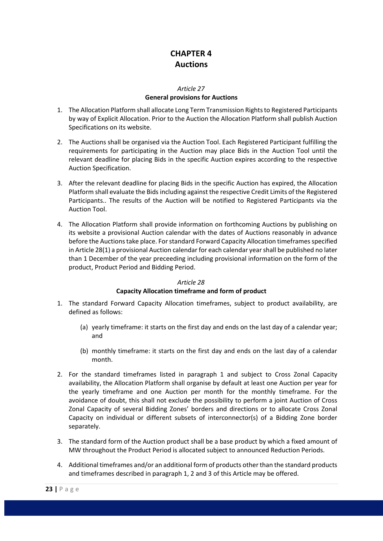# **CHAPTER 4 Auctions**

### *Article 27*

#### **General provisions for Auctions**

- <span id="page-22-1"></span><span id="page-22-0"></span>1. The Allocation Platform shall allocate Long Term Transmission Rights to Registered Participants by way of Explicit Allocation. Prior to the Auction the Allocation Platform shall publish Auction Specifications on its website.
- 2. The Auctions shall be organised via the Auction Tool. Each Registered Participant fulfilling the requirements for participating in the Auction may place Bids in the Auction Tool until the relevant deadline for placing Bids in the specific Auction expires according to the respective Auction Specification.
- 3. After the relevant deadline for placing Bids in the specific Auction has expired, the Allocation Platform shall evaluate the Bids including against the respective Credit Limits of the Registered Participants.. The results of the Auction will be notified to Registered Participants via the Auction Tool.
- 4. The Allocation Platform shall provide information on forthcoming Auctions by publishing on its website a provisional Auction calendar with the dates of Auctions reasonably in advance before the Auctions take place. For standard Forward Capacity Allocation timeframes specified i[n Article 28\(](#page-22-2)1) a provisional Auction calendar for each calendar year shall be published no later than 1 December of the year preceeding including provisional information on the form of the product, Product Period and Bidding Period.

#### *Article 28*

# **Capacity Allocation timeframe and form of product**

- <span id="page-22-2"></span>1. The standard Forward Capacity Allocation timeframes, subject to product availability, are defined as follows:
	- (a) yearly timeframe: it starts on the first day and ends on the last day of a calendar year; and
	- (b) monthly timeframe: it starts on the first day and ends on the last day of a calendar month.
- 2. For the standard timeframes listed in paragraph 1 and subject to Cross Zonal Capacity availability, the Allocation Platform shall organise by default at least one Auction per year for the yearly timeframe and one Auction per month for the monthly timeframe. For the avoidance of doubt, this shall not exclude the possibility to perform a joint Auction of Cross Zonal Capacity of several Bidding Zones' borders and directions or to allocate Cross Zonal Capacity on individual or different subsets of interconnector(s) of a Bidding Zone border separately.
- 3. The standard form of the Auction product shall be a base product by which a fixed amount of MW throughout the Product Period is allocated subject to announced Reduction Periods.
- 4. Additional timeframes and/or an additional form of products other than the standard products and timeframes described in paragraph 1, 2 and 3 of this Article may be offered.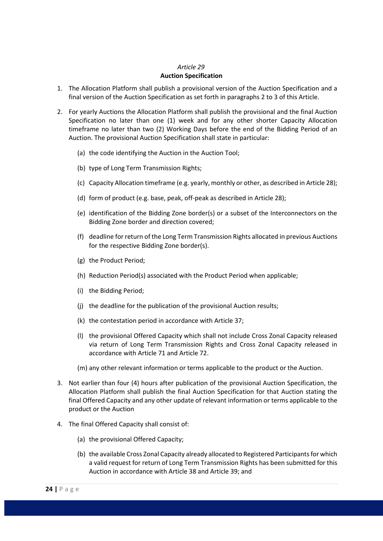#### *Article 29* **Auction Specification**

- <span id="page-23-0"></span>1. The Allocation Platform shall publish a provisional version of the Auction Specification and a final version of the Auction Specification as set forth in paragraphs 2 to 3 of this Article.
- 2. For yearly Auctions the Allocation Platform shall publish the provisional and the final Auction Specification no later than one (1) week and for any other shorter Capacity Allocation timeframe no later than two (2) Working Days before the end of the Bidding Period of an Auction. The provisional Auction Specification shall state in particular:
	- (a) the code identifying the Auction in the Auction Tool;
	- (b) type of Long Term Transmission Rights;
	- (c) Capacity Allocation timeframe (e.g. yearly, monthly or other, as described i[n Article 28\)](#page-22-2);
	- (d) form of product (e.g. base, peak, off-peak as described i[n Article 28\)](#page-22-2);
	- (e) identification of the Bidding Zone border(s) or a subset of the Interconnectors on the Bidding Zone border and direction covered;
	- (f) deadline for return of the Long Term Transmission Rights allocated in previous Auctions for the respective Bidding Zone border(s).
	- (g) the Product Period;
	- (h) Reduction Period(s) associated with the Product Period when applicable;
	- (i) the Bidding Period;
	- (j) the deadline for the publication of the provisional Auction results;
	- (k) the contestation period in accordance with [Article 37;](#page-30-0)
	- (l) the provisional Offered Capacity which shall not include Cross Zonal Capacity released via return of Long Term Transmission Rights and Cross Zonal Capacity released in accordance with [Article 71](#page-55-0) and [Article 72.](#page-56-0)
	- (m) any other relevant information or terms applicable to the product or the Auction.
- 3. Not earlier than four (4) hours after publication of the provisional Auction Specification, the Allocation Platform shall publish the final Auction Specification for that Auction stating the final Offered Capacity and any other update of relevant information or terms applicable to the product or the Auction
- 4. The final Offered Capacity shall consist of:
	- (a) the provisional Offered Capacity;
	- (b) the available Cross Zonal Capacity already allocated to Registered Participants for which a valid request for return of Long Term Transmission Rights has been submitted for this Auction in accordance with [Article 38](#page-31-1) an[d Article 39;](#page-31-2) and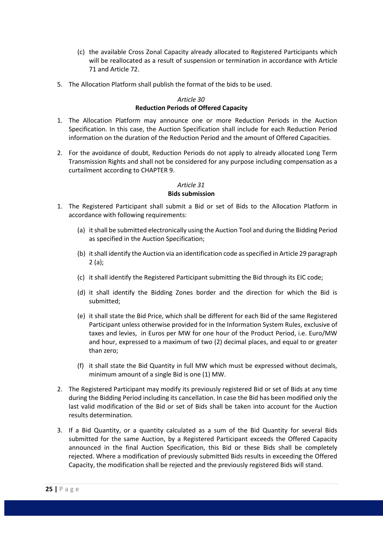- (c) the available Cross Zonal Capacity already allocated to Registered Participants which will be reallocated as a result of suspension or termination in accordance with [Article](#page-55-0)  [71](#page-55-0) an[d Article 72.](#page-56-0)
- 5. The Allocation Platform shall publish the format of the bids to be used.

#### *Article 30* **Reduction Periods of Offered Capacity**

- <span id="page-24-0"></span>1. The Allocation Platform may announce one or more Reduction Periods in the Auction Specification. In this case, the Auction Specification shall include for each Reduction Period information on the duration of the Reduction Period and the amount of Offered Capacities.
- 2. For the avoidance of doubt, Reduction Periods do not apply to already allocated Long Term Transmission Rights and shall not be considered for any purpose including compensation as a curtailment according to CHAPTER 9.

## *Article 31* **Bids submission**

- <span id="page-24-1"></span>1. The Registered Participant shall submit a Bid or set of Bids to the Allocation Platform in accordance with following requirements:
	- (a) it shall be submitted electronically using the Auction Tool and during the Bidding Period as specified in the Auction Specification;
	- (b) it shall identify the Auction via an identification code as specified i[n Article 29](#page-23-0) paragraph 2 (a);
	- (c) it shall identify the Registered Participant submitting the Bid through its EIC code;
	- (d) it shall identify the Bidding Zones border and the direction for which the Bid is submitted;
	- (e) it shall state the Bid Price, which shall be different for each Bid of the same Registered Participant unless otherwise provided for in the Information System Rules, exclusive of taxes and levies, in Euros per MW for one hour of the Product Period, i.e. Euro/MW and hour, expressed to a maximum of two (2) decimal places, and equal to or greater than zero;
	- (f) it shall state the Bid Quantity in full MW which must be expressed without decimals, minimum amount of a single Bid is one (1) MW.
- 2. The Registered Participant may modify its previously registered Bid or set of Bids at any time during the Bidding Period including its cancellation. In case the Bid has been modified only the last valid modification of the Bid or set of Bids shall be taken into account for the Auction results determination.
- 3. If a Bid Quantity, or a quantity calculated as a sum of the Bid Quantity for several Bids submitted for the same Auction, by a Registered Participant exceeds the Offered Capacity announced in the final Auction Specification, this Bid or these Bids shall be completely rejected. Where a modification of previously submitted Bids results in exceeding the Offered Capacity, the modification shall be rejected and the previously registered Bids will stand.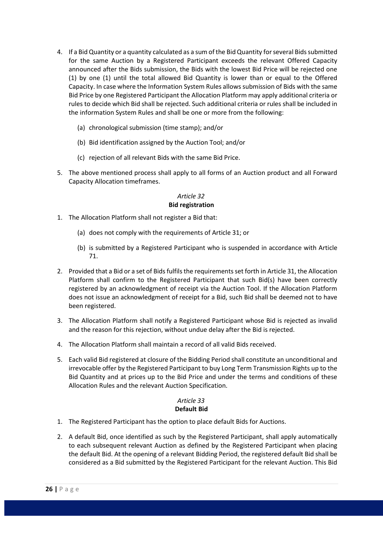- 4. If a Bid Quantity or a quantity calculated as a sum of the Bid Quantity for several Bids submitted for the same Auction by a Registered Participant exceeds the relevant Offered Capacity announced after the Bids submission, the Bids with the lowest Bid Price will be rejected one (1) by one (1) until the total allowed Bid Quantity is lower than or equal to the Offered Capacity. In case where the Information System Rules allows submission of Bids with the same Bid Price by one Registered Participant the Allocation Platform may apply additional criteria or rules to decide which Bid shall be rejected. Such additional criteria or rules shall be included in the information System Rules and shall be one or more from the following:
	- (a) chronological submission (time stamp); and/or
	- (b) Bid identification assigned by the Auction Tool; and/or
	- (c) rejection of all relevant Bids with the same Bid Price.
- 5. The above mentioned process shall apply to all forms of an Auction product and all Forward Capacity Allocation timeframes.

# *Article 32* **Bid registration**

- <span id="page-25-0"></span>1. The Allocation Platform shall not register a Bid that:
	- (a) does not comply with the requirements o[f Article 31;](#page-24-1) or
	- (b) is submitted by a Registered Participant who is suspended in accordance with [Article](#page-55-0)  [71.](#page-55-0)
- 2. Provided that a Bid or a set of Bids fulfils the requirements set forth i[n Article 31,](#page-24-1) the Allocation Platform shall confirm to the Registered Participant that such Bid(s) have been correctly registered by an acknowledgment of receipt via the Auction Tool. If the Allocation Platform does not issue an acknowledgment of receipt for a Bid, such Bid shall be deemed not to have been registered.
- 3. The Allocation Platform shall notify a Registered Participant whose Bid is rejected as invalid and the reason for this rejection, without undue delay after the Bid is rejected.
- 4. The Allocation Platform shall maintain a record of all valid Bids received.
- 5. Each valid Bid registered at closure of the Bidding Period shall constitute an unconditional and irrevocable offer by the Registered Participant to buy Long Term Transmission Rights up to the Bid Quantity and at prices up to the Bid Price and under the terms and conditions of these Allocation Rules and the relevant Auction Specification.

#### *Article 33* **Default Bid**

- <span id="page-25-1"></span>1. The Registered Participant has the option to place default Bids for Auctions.
- 2. A default Bid, once identified as such by the Registered Participant, shall apply automatically to each subsequent relevant Auction as defined by the Registered Participant when placing the default Bid. At the opening of a relevant Bidding Period, the registered default Bid shall be considered as a Bid submitted by the Registered Participant for the relevant Auction. This Bid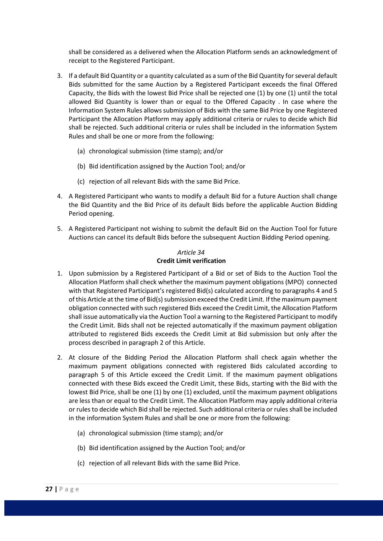shall be considered as a delivered when the Allocation Platform sends an acknowledgment of receipt to the Registered Participant.

- 3. If a default Bid Quantity or a quantity calculated as a sum of the Bid Quantity for several default Bids submitted for the same Auction by a Registered Participant exceeds the final Offered Capacity, the Bids with the lowest Bid Price shall be rejected one (1) by one (1) until the total allowed Bid Quantity is lower than or equal to the Offered Capacity . In case where the Information System Rules allows submission of Bids with the same Bid Price by one Registered Participant the Allocation Platform may apply additional criteria or rules to decide which Bid shall be rejected. Such additional criteria or rules shall be included in the information System Rules and shall be one or more from the following:
	- (a) chronological submission (time stamp); and/or
	- (b) Bid identification assigned by the Auction Tool; and/or
	- (c) rejection of all relevant Bids with the same Bid Price.
- 4. A Registered Participant who wants to modify a default Bid for a future Auction shall change the Bid Quantity and the Bid Price of its default Bids before the applicable Auction Bidding Period opening.
- 5. A Registered Participant not wishing to submit the default Bid on the Auction Tool for future Auctions can cancel its default Bids before the subsequent Auction Bidding Period opening.

## *Article 34* **Credit Limit verification**

- <span id="page-26-0"></span>1. Upon submission by a Registered Participant of a Bid or set of Bids to the Auction Tool the Allocation Platform shall check whether the maximum payment obligations (MPO) connected with that Registered Participant's registered Bid(s) calculated according to paragraphs 4 and 5 of this Article at the time of Bid(s) submission exceed the Credit Limit. If the maximum payment obligation connected with such registered Bids exceed the Credit Limit, the Allocation Platform shall issue automatically via the Auction Tool a warning to the Registered Participant to modify the Credit Limit. Bids shall not be rejected automatically if the maximum payment obligation attributed to registered Bids exceeds the Credit Limit at Bid submission but only after the process described in paragraph 2 of this Article.
- 2. At closure of the Bidding Period the Allocation Platform shall check again whether the maximum payment obligations connected with registered Bids calculated according to paragraph 5 of this Article exceed the Credit Limit. If the maximum payment obligations connected with these Bids exceed the Credit Limit, these Bids, starting with the Bid with the lowest Bid Price, shall be one (1) by one (1) excluded, until the maximum payment obligations are less than or equal to the Credit Limit. The Allocation Platform may apply additional criteria or rules to decide which Bid shall be rejected. Such additional criteria or rules shall be included in the information System Rules and shall be one or more from the following:
	- (a) chronological submission (time stamp); and/or
	- (b) Bid identification assigned by the Auction Tool; and/or
	- (c) rejection of all relevant Bids with the same Bid Price.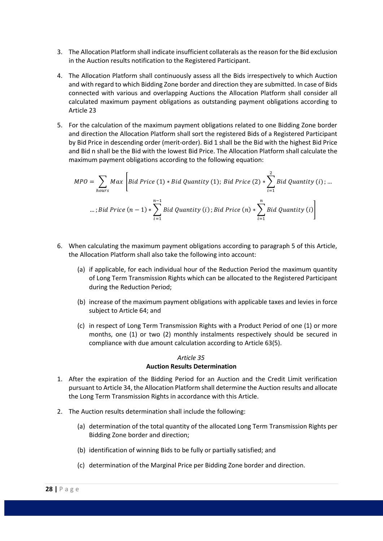- 3. The Allocation Platform shall indicate insufficient collaterals as the reason for the Bid exclusion in the Auction results notification to the Registered Participant.
- 4. The Allocation Platform shall continuously assess all the Bids irrespectively to which Auction and with regard to which Bidding Zone border and direction they are submitted. In case of Bids connected with various and overlapping Auctions the Allocation Platform shall consider all calculated maximum payment obligations as outstanding payment obligations according to Article 23
- 5. For the calculation of the maximum payment obligations related to one Bidding Zone border and direction the Allocation Platform shall sort the registered Bids of a Registered Participant by Bid Price in descending order (merit-order). Bid 1 shall be the Bid with the highest Bid Price and Bid n shall be the Bid with the lowest Bid Price. The Allocation Platform shall calculate the maximum payment obligations according to the following equation:

$$
MPO = \sum_{hours} Max \left[ Bid \text{ Price (1)} * Bid \text{ Quadrity (1)}; Bid \text{ Price (2)} * \sum_{i=1}^{2} Bid \text{ Quantity (i)}; ...
$$
  
...; Bid \text{ Price (n - 1)} \*  $\sum_{i=1}^{n-1} Bid \text{ Quantity (i)}; Bid \text{ Price (n)} * \sum_{i=1}^{n} Bid \text{ Quantity (i)} \right]$ 

- 6. When calculating the maximum payment obligations according to paragraph 5 of this Article, the Allocation Platform shall also take the following into account:
	- (a) if applicable, for each individual hour of the Reduction Period the maximum quantity of Long Term Transmission Rights which can be allocated to the Registered Participant during the Reduction Period;
	- (b) increase of the maximum payment obligations with applicable taxes and levies in force subject to [Article](#page-48-0) 64; and
	- (c) in respect of Long Term Transmission Rights with a Product Period of one (1) or more months, one (1) or two (2) monthly instalments respectively should be secured in compliance with due amount calculation according to [Article 63\(](#page-47-2)5).

#### *Article 35* **Auction Results Determination**

- <span id="page-27-0"></span>1. After the expiration of the Bidding Period for an Auction and the Credit Limit verification pursuant to [Article 34,](#page-26-0) the Allocation Platform shall determine the Auction results and allocate the Long Term Transmission Rights in accordance with this Article.
- 2. The Auction results determination shall include the following:
	- (a) determination of the total quantity of the allocated Long Term Transmission Rights per Bidding Zone border and direction;
	- (b) identification of winning Bids to be fully or partially satisfied; and
	- (c) determination of the Marginal Price per Bidding Zone border and direction.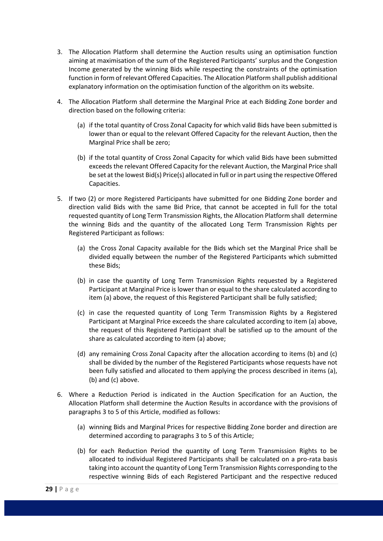- 3. The Allocation Platform shall determine the Auction results using an optimisation function aiming at maximisation of the sum of the Registered Participants' surplus and the Congestion Income generated by the winning Bids while respecting the constraints of the optimisation function in form of relevant Offered Capacities. The Allocation Platform shall publish additional explanatory information on the optimisation function of the algorithm on its website.
- 4. The Allocation Platform shall determine the Marginal Price at each Bidding Zone border and direction based on the following criteria:
	- (a) if the total quantity of Cross Zonal Capacity for which valid Bids have been submitted is lower than or equal to the relevant Offered Capacity for the relevant Auction, then the Marginal Price shall be zero;
	- (b) if the total quantity of Cross Zonal Capacity for which valid Bids have been submitted exceeds the relevant Offered Capacity for the relevant Auction, the Marginal Price shall be set at the lowest Bid(s) Price(s) allocated in full or in part using the respective Offered Capacities.
- 5. If two (2) or more Registered Participants have submitted for one Bidding Zone border and direction valid Bids with the same Bid Price, that cannot be accepted in full for the total requested quantity of Long Term Transmission Rights, the Allocation Platform shall determine the winning Bids and the quantity of the allocated Long Term Transmission Rights per Registered Participant as follows:
	- (a) the Cross Zonal Capacity available for the Bids which set the Marginal Price shall be divided equally between the number of the Registered Participants which submitted these Bids;
	- (b) in case the quantity of Long Term Transmission Rights requested by a Registered Participant at Marginal Price is lower than or equal to the share calculated according to item (a) above, the request of this Registered Participant shall be fully satisfied;
	- (c) in case the requested quantity of Long Term Transmission Rights by a Registered Participant at Marginal Price exceeds the share calculated according to item (a) above, the request of this Registered Participant shall be satisfied up to the amount of the share as calculated according to item (a) above;
	- (d) any remaining Cross Zonal Capacity after the allocation according to items (b) and (c) shall be divided by the number of the Registered Participants whose requests have not been fully satisfied and allocated to them applying the process described in items (a), (b) and (c) above.
- 6. Where a Reduction Period is indicated in the Auction Specification for an Auction, the Allocation Platform shall determine the Auction Results in accordance with the provisions of paragraphs 3 to 5 of this Article, modified as follows:
	- (a) winning Bids and Marginal Prices for respective Bidding Zone border and direction are determined according to paragraphs 3 to 5 of this Article;
	- (b) for each Reduction Period the quantity of Long Term Transmission Rights to be allocated to individual Registered Participants shall be calculated on a pro-rata basis taking into account the quantity of Long Term Transmission Rights corresponding to the respective winning Bids of each Registered Participant and the respective reduced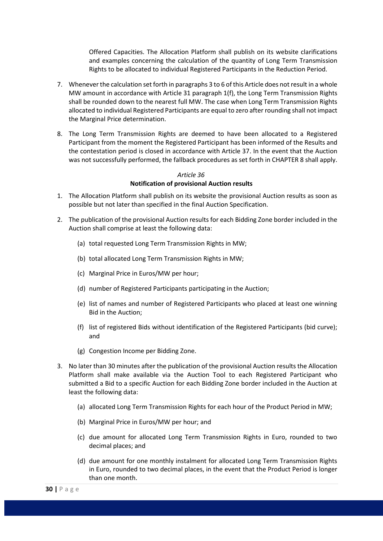Offered Capacities. The Allocation Platform shall publish on its website clarifications and examples concerning the calculation of the quantity of Long Term Transmission Rights to be allocated to individual Registered Participants in the Reduction Period.

- 7. Whenever the calculation set forth in paragraphs 3 to 6 of this Article does not result in a whole MW amount in accordance with [Article 31](#page-24-1) paragraph 1(f), the Long Term Transmission Rights shall be rounded down to the nearest full MW. The case when Long Term Transmission Rights allocated to individual Registered Participants are equal to zero after rounding shall not impact the Marginal Price determination.
- 8. The Long Term Transmission Rights are deemed to have been allocated to a Registered Participant from the moment the Registered Participant has been informed of the Results and the contestation period is closed in accordance with [Article 37.](#page-30-0) In the event that the Auction was not successfully performed, the fallback procedures as set forth in CHAPTER 8 shall apply.

#### *Article 36* **Notification of provisional Auction results**

- <span id="page-29-0"></span>1. The Allocation Platform shall publish on its website the provisional Auction results as soon as possible but not later than specified in the final Auction Specification.
- 2. The publication of the provisional Auction results for each Bidding Zone border included in the Auction shall comprise at least the following data:
	- (a) total requested Long Term Transmission Rights in MW;
	- (b) total allocated Long Term Transmission Rights in MW;
	- (c) Marginal Price in Euros/MW per hour;
	- (d) number of Registered Participants participating in the Auction;
	- (e) list of names and number of Registered Participants who placed at least one winning Bid in the Auction;
	- (f) list of registered Bids without identification of the Registered Participants (bid curve); and
	- (g) Congestion Income per Bidding Zone.
- 3. No later than 30 minutes after the publication of the provisional Auction results the Allocation Platform shall make available via the Auction Tool to each Registered Participant who submitted a Bid to a specific Auction for each Bidding Zone border included in the Auction at least the following data:
	- (a) allocated Long Term Transmission Rights for each hour of the Product Period in MW;
	- (b) Marginal Price in Euros/MW per hour; and
	- (c) due amount for allocated Long Term Transmission Rights in Euro, rounded to two decimal places; and
	- (d) due amount for one monthly instalment for allocated Long Term Transmission Rights in Euro, rounded to two decimal places, in the event that the Product Period is longer than one month.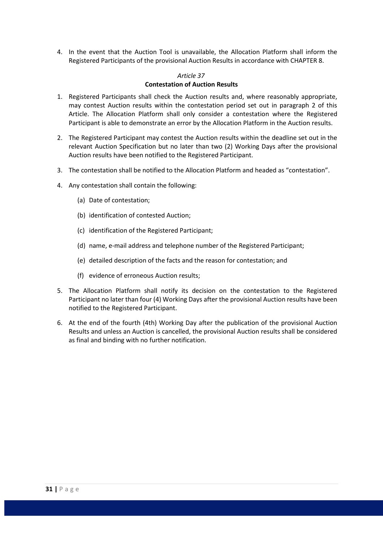4. In the event that the Auction Tool is unavailable, the Allocation Platform shall inform the Registered Participants of the provisional Auction Results in accordance with CHAPTER 8.

## *Article 37* **Contestation of Auction Results**

- <span id="page-30-0"></span>1. Registered Participants shall check the Auction results and, where reasonably appropriate, may contest Auction results within the contestation period set out in paragraph 2 of this Article. The Allocation Platform shall only consider a contestation where the Registered Participant is able to demonstrate an error by the Allocation Platform in the Auction results.
- 2. The Registered Participant may contest the Auction results within the deadline set out in the relevant Auction Specification but no later than two (2) Working Days after the provisional Auction results have been notified to the Registered Participant.
- 3. The contestation shall be notified to the Allocation Platform and headed as "contestation".
- 4. Any contestation shall contain the following:
	- (a) Date of contestation;
	- (b) identification of contested Auction;
	- (c) identification of the Registered Participant;
	- (d) name, e-mail address and telephone number of the Registered Participant;
	- (e) detailed description of the facts and the reason for contestation; and
	- (f) evidence of erroneous Auction results;
- 5. The Allocation Platform shall notify its decision on the contestation to the Registered Participant no later than four (4) Working Days after the provisional Auction results have been notified to the Registered Participant.
- 6. At the end of the fourth (4th) Working Day after the publication of the provisional Auction Results and unless an Auction is cancelled, the provisional Auction results shall be considered as final and binding with no further notification.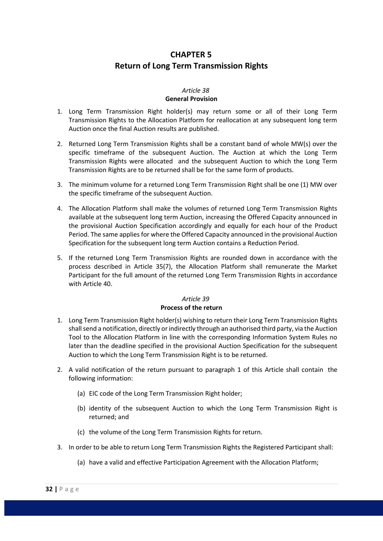# **CHAPTER 5 Return of Long Term Transmission Rights**

#### *Article 38* **General Provision**

- <span id="page-31-1"></span><span id="page-31-0"></span>1. Long Term Transmission Right holder(s) may return some or all of their Long Term Transmission Rights to the Allocation Platform for reallocation at any subsequent long term Auction once the final Auction results are published.
- 2. Returned Long Term Transmission Rights shall be a constant band of whole MW(s) over the specific timeframe of the subsequent Auction. The Auction at which the Long Term Transmission Rights were allocated and the subsequent Auction to which the Long Term Transmission Rights are to be returned shall be for the same form of products.
- 3. The minimum volume for a returned Long Term Transmission Right shall be one (1) MW over the specific timeframe of the subsequent Auction.
- 4. The Allocation Platform shall make the volumes of returned Long Term Transmission Rights available at the subsequent long term Auction, increasing the Offered Capacity announced in the provisional Auction Specification accordingly and equally for each hour of the Product Period. The same applies for where the Offered Capacity announced in the provisional Auction Specification for the subsequent long term Auction contains a Reduction Period.
- 5. If the returned Long Term Transmission Rights are rounded down in accordance with the process described in [Article 35\(](#page-27-0)7), the Allocation Platform shall remunerate the Market Participant for the full amount of the returned Long Term Transmission Rights in accordance with [Article 40.](#page-32-0)

#### *Article 39*

### **Process of the return**

- <span id="page-31-2"></span>1. Long Term Transmission Right holder(s) wishing to return their Long Term Transmission Rights shall send a notification, directly or indirectly through an authorised third party, via the Auction Tool to the Allocation Platform in line with the corresponding Information System Rules no later than the deadline specified in the provisional Auction Specification for the subsequent Auction to which the Long Term Transmission Right is to be returned.
- 2. A valid notification of the return pursuant to paragraph 1 of this Article shall contain the following information:
	- (a) EIC code of the Long Term Transmission Right holder;
	- (b) identity of the subsequent Auction to which the Long Term Transmission Right is returned; and
	- (c) the volume of the Long Term Transmission Rights for return.
- 3. In order to be able to return Long Term Transmission Rights the Registered Participant shall:
	- (a) have a valid and effective Participation Agreement with the Allocation Platform;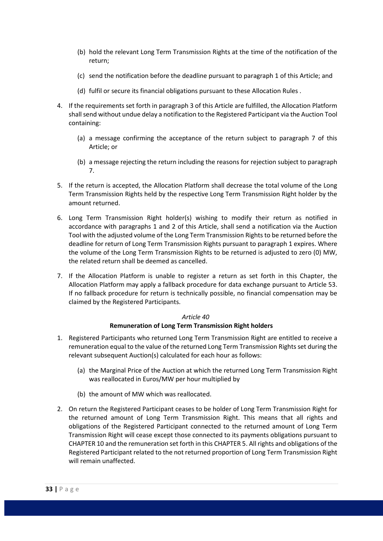- (b) hold the relevant Long Term Transmission Rights at the time of the notification of the return;
- (c) send the notification before the deadline pursuant to paragraph 1 of this Article; and
- (d) fulfil or secure its financial obligations pursuant to these Allocation Rules .
- 4. If the requirements set forth in paragraph 3 of this Article are fulfilled, the Allocation Platform shall send without undue delay a notification to the Registered Participant via the Auction Tool containing:
	- (a) a message confirming the acceptance of the return subject to paragraph 7 of this Article; or
	- (b) a message rejecting the return including the reasons for rejection subject to paragraph 7.
- 5. If the return is accepted, the Allocation Platform shall decrease the total volume of the Long Term Transmission Rights held by the respective Long Term Transmission Right holder by the amount returned.
- 6. Long Term Transmission Right holder(s) wishing to modify their return as notified in accordance with paragraphs 1 and 2 of this Article, shall send a notification via the Auction Tool with the adjusted volume of the Long Term Transmission Rights to be returned before the deadline for return of Long Term Transmission Rights pursuant to paragraph 1 expires. Where the volume of the Long Term Transmission Rights to be returned is adjusted to zero (0) MW, the related return shall be deemed as cancelled.
- 7. If the Allocation Platform is unable to register a return as set forth in this Chapter, the Allocation Platform may apply a fallback procedure for data exchange pursuant to [Article 53.](#page-41-1) If no fallback procedure for return is technically possible, no financial compensation may be claimed by the Registered Participants.

### *Article 40* **Remuneration of Long Term Transmission Right holders**

- <span id="page-32-0"></span>1. Registered Participants who returned Long Term Transmission Right are entitled to receive a remuneration equal to the value of the returned Long Term Transmission Rights set during the relevant subsequent Auction(s) calculated for each hour as follows:
	- (a) the Marginal Price of the Auction at which the returned Long Term Transmission Right was reallocated in Euros/MW per hour multiplied by
	- (b) the amount of MW which was reallocated.
- 2. On return the Registered Participant ceases to be holder of Long Term Transmission Right for the returned amount of Long Term Transmission Right. This means that all rights and obligations of the Registered Participant connected to the returned amount of Long Term Transmission Right will cease except those connected to its payments obligations pursuant to CHAPTER 10 and the remuneration set forth in this CHAPTER 5. All rights and obligations of the Registered Participant related to the not returned proportion of Long Term Transmission Right will remain unaffected.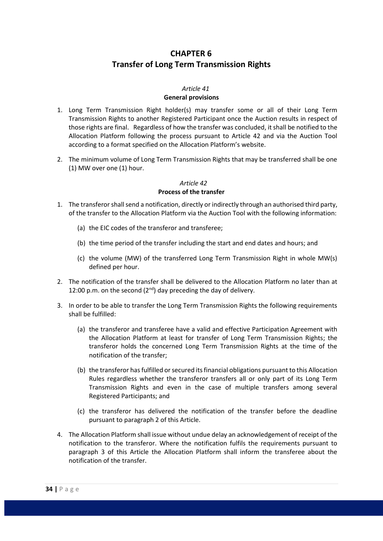# **CHAPTER 6 Transfer of Long Term Transmission Rights**

#### *Article 41*

#### **General provisions**

- <span id="page-33-1"></span><span id="page-33-0"></span>1. Long Term Transmission Right holder(s) may transfer some or all of their Long Term Transmission Rights to another Registered Participant once the Auction results in respect of those rights are final. Regardless of how the transfer was concluded, it shall be notified to the Allocation Platform following the process pursuant to Article 42 and via the Auction Tool according to a format specified on the Allocation Platform's website.
- 2. The minimum volume of Long Term Transmission Rights that may be transferred shall be one (1) MW over one (1) hour.

# *Article 42* **Process of the transfer**

- <span id="page-33-2"></span>1. The transferor shall send a notification, directly or indirectly through an authorised third party, of the transfer to the Allocation Platform via the Auction Tool with the following information:
	- (a) the EIC codes of the transferor and transferee;
	- (b) the time period of the transfer including the start and end dates and hours; and
	- (c) the volume (MW) of the transferred Long Term Transmission Right in whole MW(s) defined per hour.
- 2. The notification of the transfer shall be delivered to the Allocation Platform no later than at 12:00 p.m. on the second ( $2^{nd}$ ) day preceding the day of delivery.
- 3. In order to be able to transfer the Long Term Transmission Rights the following requirements shall be fulfilled:
	- (a) the transferor and transferee have a valid and effective Participation Agreement with the Allocation Platform at least for transfer of Long Term Transmission Rights; the transferor holds the concerned Long Term Transmission Rights at the time of the notification of the transfer;
	- (b) the transferor has fulfilled or secured its financial obligations pursuant to this Allocation Rules regardless whether the transferor transfers all or only part of its Long Term Transmission Rights and even in the case of multiple transfers among several Registered Participants; and
	- (c) the transferor has delivered the notification of the transfer before the deadline pursuant to paragraph 2 of this Article.
- 4. The Allocation Platform shall issue without undue delay an acknowledgement of receipt of the notification to the transferor. Where the notification fulfils the requirements pursuant to paragraph 3 of this Article the Allocation Platform shall inform the transferee about the notification of the transfer.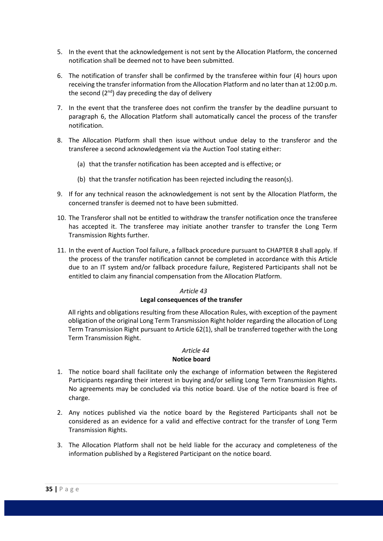- 5. In the event that the acknowledgement is not sent by the Allocation Platform, the concerned notification shall be deemed not to have been submitted.
- 6. The notification of transfer shall be confirmed by the transferee within four (4) hours upon receiving the transfer information from the Allocation Platform and no later than at 12:00 p.m. the second  $(2^{nd})$  day preceding the day of delivery
- 7. In the event that the transferee does not confirm the transfer by the deadline pursuant to paragraph 6, the Allocation Platform shall automatically cancel the process of the transfer notification.
- 8. The Allocation Platform shall then issue without undue delay to the transferor and the transferee a second acknowledgement via the Auction Tool stating either:
	- (a) that the transfer notification has been accepted and is effective; or
	- (b) that the transfer notification has been rejected including the reason(s).
- 9. If for any technical reason the acknowledgement is not sent by the Allocation Platform, the concerned transfer is deemed not to have been submitted.
- 10. The Transferor shall not be entitled to withdraw the transfer notification once the transferee has accepted it. The transferee may initiate another transfer to transfer the Long Term Transmission Rights further.
- 11. In the event of Auction Tool failure, a fallback procedure pursuant to CHAPTER 8 shall apply. If the process of the transfer notification cannot be completed in accordance with this Article due to an IT system and/or fallback procedure failure, Registered Participants shall not be entitled to claim any financial compensation from the Allocation Platform.

#### *Article 43*

#### **Legal consequences of the transfer**

<span id="page-34-0"></span>All rights and obligations resulting from these Allocation Rules, with exception of the payment obligation of the original Long Term Transmission Right holder regarding the allocation of Long Term Transmission Right pursuant to [Article 62\(](#page-47-1)1), shall be transferred together with the Long Term Transmission Right.

# *Article 44*

#### **Notice board**

- <span id="page-34-1"></span>1. The notice board shall facilitate only the exchange of information between the Registered Participants regarding their interest in buying and/or selling Long Term Transmission Rights. No agreements may be concluded via this notice board. Use of the notice board is free of charge.
- 2. Any notices published via the notice board by the Registered Participants shall not be considered as an evidence for a valid and effective contract for the transfer of Long Term Transmission Rights.
- 3. The Allocation Platform shall not be held liable for the accuracy and completeness of the information published by a Registered Participant on the notice board.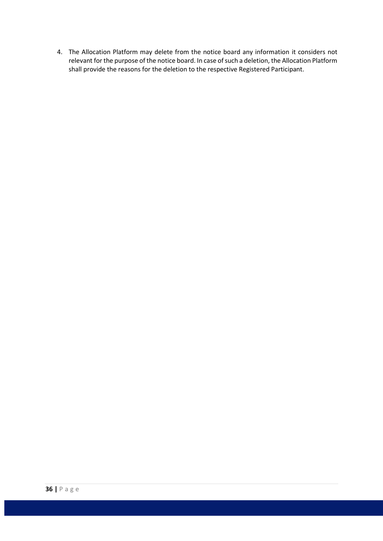4. The Allocation Platform may delete from the notice board any information it considers not relevant for the purpose of the notice board. In case of such a deletion, the Allocation Platform shall provide the reasons for the deletion to the respective Registered Participant.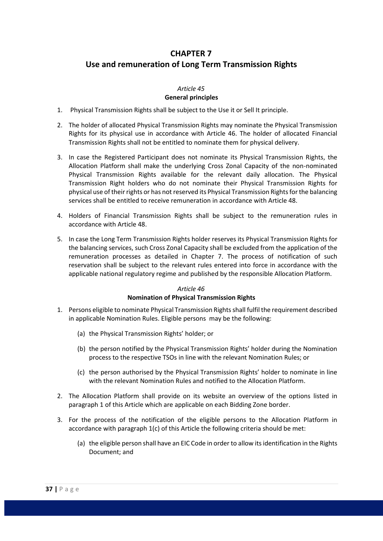# **CHAPTER 7**

# <span id="page-36-0"></span>**Use and remuneration of Long Term Transmission Rights**

# *Article 45*

#### **General principles**

- <span id="page-36-1"></span>1. Physical Transmission Rights shall be subject to the Use it or Sell It principle.
- 2. The holder of allocated Physical Transmission Rights may nominate the Physical Transmission Rights for its physical use in accordance with [Article 46.](#page-36-2) The holder of allocated Financial Transmission Rights shall not be entitled to nominate them for physical delivery.
- 3. In case the Registered Participant does not nominate its Physical Transmission Rights, the Allocation Platform shall make the underlying Cross Zonal Capacity of the non-nominated Physical Transmission Rights available for the relevant daily allocation. The Physical Transmission Right holders who do not nominate their Physical Transmission Rights for physical use of their rights or has not reserved its Physical Transmission Rights for the balancing services shall be entitled to receive remuneration in accordance with Article 48.
- 4. Holders of Financial Transmission Rights shall be subject to the remuneration rules in accordance with [Article 48.](#page-37-1)
- 5. In case the Long Term Transmission Rights holder reserves its Physical Transmission Rights for the balancing services, such Cross Zonal Capacity shall be excluded from the application of the remuneration processes as detailed in Chapter 7. The process of notification of such reservation shall be subject to the relevant rules entered into force in accordance with the applicable national regulatory regime and published by the responsible Allocation Platform.

#### *Article 46*

# **Nomination of Physical Transmission Rights**

- <span id="page-36-2"></span>1. Persons eligible to nominate Physical Transmission Rights shall fulfil the requirement described in applicable Nomination Rules. Eligible persons may be the following:
	- (a) the Physical Transmission Rights' holder; or
	- (b) the person notified by the Physical Transmission Rights' holder during the Nomination process to the respective TSOs in line with the relevant Nomination Rules; or
	- (c) the person authorised by the Physical Transmission Rights' holder to nominate in line with the relevant Nomination Rules and notified to the Allocation Platform.
- 2. The Allocation Platform shall provide on its website an overview of the options listed in paragraph 1 of this Article which are applicable on each Bidding Zone border.
- 3. For the process of the notification of the eligible persons to the Allocation Platform in accordance with paragraph 1(c) of this Article the following criteria should be met:
	- (a) the eligible person shall have an EIC Code in order to allow its identification in the Rights Document; and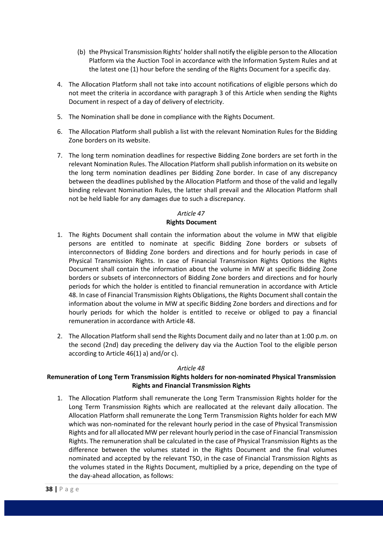- (b) the Physical Transmission Rights' holder shall notify the eligible person to the Allocation Platform via the Auction Tool in accordance with the Information System Rules and at the latest one (1) hour before the sending of the Rights Document for a specific day.
- 4. The Allocation Platform shall not take into account notifications of eligible persons which do not meet the criteria in accordance with paragraph 3 of this Article when sending the Rights Document in respect of a day of delivery of electricity.
- 5. The Nomination shall be done in compliance with the Rights Document.
- 6. The Allocation Platform shall publish a list with the relevant Nomination Rules for the Bidding Zone borders on its website.
- 7. The long term nomination deadlines for respective Bidding Zone borders are set forth in the relevant Nomination Rules. The Allocation Platform shall publish information on its website on the long term nomination deadlines per Bidding Zone border. In case of any discrepancy between the deadlines published by the Allocation Platform and those of the valid and legally binding relevant Nomination Rules, the latter shall prevail and the Allocation Platform shall not be held liable for any damages due to such a discrepancy.

### *Article 47*

#### **Rights Document**

- <span id="page-37-0"></span>1. The Rights Document shall contain the information about the volume in MW that eligible persons are entitled to nominate at specific Bidding Zone borders or subsets of interconnectors of Bidding Zone borders and directions and for hourly periods in case of Physical Transmission Rights. In case of Financial Transmission Rights Options the Rights Document shall contain the information about the volume in MW at specific Bidding Zone borders or subsets of interconnectors of Bidding Zone borders and directions and for hourly periods for which the holder is entitled to financial remuneration in accordance with [Article](#page-37-1)  [48.](#page-37-1) In case of Financial Transmission Rights Obligations, the Rights Document shall contain the information about the volume in MW at specific Bidding Zone borders and directions and for hourly periods for which the holder is entitled to receive or obliged to pay a financial remuneration in accordance with [Article 48.](#page-37-1)
- 2. The Allocation Platform shall send the Rights Document daily and no later than at 1:00 p.m. on the second (2nd) day preceding the delivery day via the Auction Tool to the eligible person according to [Article 46\(](#page-36-2)1) a) and/or c).

#### *Article 48*

# <span id="page-37-1"></span>**Remuneration of Long Term Transmission Rights holders for non-nominated Physical Transmission Rights and Financial Transmission Rights**

1. The Allocation Platform shall remunerate the Long Term Transmission Rights holder for the Long Term Transmission Rights which are reallocated at the relevant daily allocation. The Allocation Platform shall remunerate the Long Term Transmission Rights holder for each MW which was non-nominated for the relevant hourly period in the case of Physical Transmission Rights and for all allocated MW per relevant hourly period in the case of Financial Transmission Rights. The remuneration shall be calculated in the case of Physical Transmission Rights as the difference between the volumes stated in the Rights Document and the final volumes nominated and accepted by the relevant TSO, in the case of Financial Transmission Rights as the volumes stated in the Rights Document, multiplied by a price, depending on the type of the day-ahead allocation, as follows: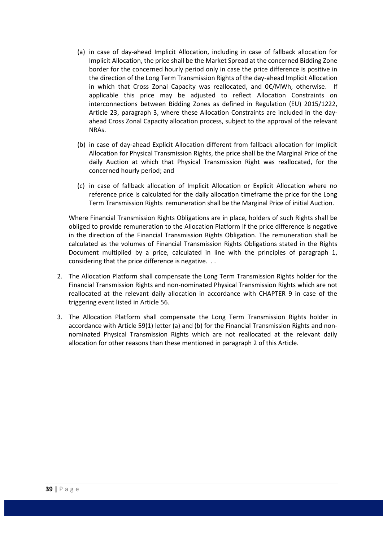- (a) in case of day-ahead Implicit Allocation, including in case of fallback allocation for Implicit Allocation, the price shall be the Market Spread at the concerned Bidding Zone border for the concerned hourly period only in case the price difference is positive in the direction of the Long Term Transmission Rights of the day-ahead Implicit Allocation in which that Cross Zonal Capacity was reallocated, and 0€/MWh, otherwise. If applicable this price may be adjusted to reflect Allocation Constraints on interconnections between Bidding Zones as defined in Regulation (EU) 2015/1222, [Article 23,](#page-19-1) paragraph 3, where these Allocation Constraints are included in the dayahead Cross Zonal Capacity allocation process, subject to the approval of the relevant NRAs.
- (b) in case of day-ahead Explicit Allocation different from fallback allocation for Implicit Allocation for Physical Transmission Rights, the price shall be the Marginal Price of the daily Auction at which that Physical Transmission Right was reallocated, for the concerned hourly period; and
- (c) in case of fallback allocation of Implicit Allocation or Explicit Allocation where no reference price is calculated for the daily allocation timeframe the price for the Long Term Transmission Rights remuneration shall be the Marginal Price of initial Auction.

Where Financial Transmission Rights Obligations are in place, holders of such Rights shall be obliged to provide remuneration to the Allocation Platform if the price difference is negative in the direction of the Financial Transmission Rights Obligation. The remuneration shall be calculated as the volumes of Financial Transmission Rights Obligations stated in the Rights Document multiplied by a price, calculated in line with the principles of paragraph 1, considering that the price difference is negative. . .

- 2. The Allocation Platform shall compensate the Long Term Transmission Rights holder for the Financial Transmission Rights and non-nominated Physical Transmission Rights which are not reallocated at the relevant daily allocation in accordance with CHAPTER 9 in case of the triggering event listed in [Article 56.](#page-43-1)
- 3. The Allocation Platform shall compensate the Long Term Transmission Rights holder in accordance with [Article 59\(](#page-44-1)1) letter (a) and (b) for the Financial Transmission Rights and nonnominated Physical Transmission Rights which are not reallocated at the relevant daily allocation for other reasons than these mentioned in paragraph 2 of this Article.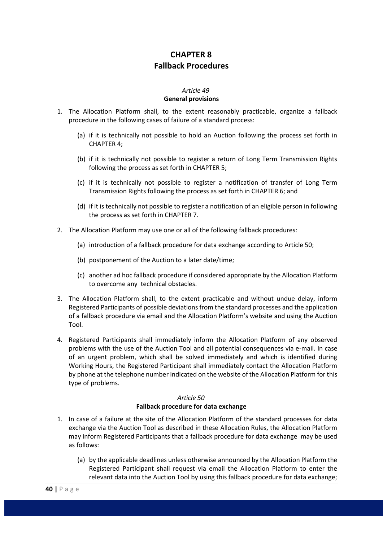# **CHAPTER 8 Fallback Procedures**

#### *Article 49* **General provisions**

- <span id="page-39-1"></span><span id="page-39-0"></span>1. The Allocation Platform shall, to the extent reasonably practicable, organize a fallback procedure in the following cases of failure of a standard process:
	- (a) if it is technically not possible to hold an Auction following the process set forth in CHAPTER 4;
	- (b) if it is technically not possible to register a return of Long Term Transmission Rights following the process as set forth in CHAPTER 5;
	- (c) if it is technically not possible to register a notification of transfer of Long Term Transmission Rights following the process as set forth in CHAPTER 6; and
	- (d) if it is technically not possible to register a notification of an eligible person in following the process as set forth in CHAPTER 7.
- 2. The Allocation Platform may use one or all of the following fallback procedures:
	- (a) introduction of a fallback procedure for data exchange according to [Article 50;](#page-39-2)
	- (b) postponement of the Auction to a later date/time;
	- (c) another ad hoc fallback procedure if considered appropriate by the Allocation Platform to overcome any technical obstacles.
- 3. The Allocation Platform shall, to the extent practicable and without undue delay, inform Registered Participants of possible deviations from the standard processes and the application of a fallback procedure via email and the Allocation Platform's website and using the Auction Tool.
- 4. Registered Participants shall immediately inform the Allocation Platform of any observed problems with the use of the Auction Tool and all potential consequences via e-mail. In case of an urgent problem, which shall be solved immediately and which is identified during Working Hours, the Registered Participant shall immediately contact the Allocation Platform by phone at the telephone number indicated on the website of the Allocation Platform for this type of problems.

#### *Article 50*

#### **Fallback procedure for data exchange**

- <span id="page-39-2"></span>1. In case of a failure at the site of the Allocation Platform of the standard processes for data exchange via the Auction Tool as described in these Allocation Rules, the Allocation Platform may inform Registered Participants that a fallback procedure for data exchange may be used as follows:
	- (a) by the applicable deadlines unless otherwise announced by the Allocation Platform the Registered Participant shall request via email the Allocation Platform to enter the relevant data into the Auction Tool by using this fallback procedure for data exchange;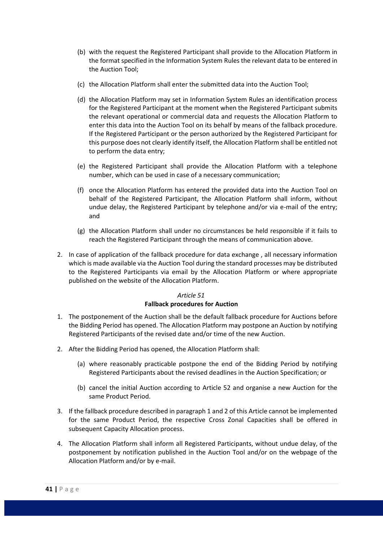- (b) with the request the Registered Participant shall provide to the Allocation Platform in the format specified in the Information System Rules the relevant data to be entered in the Auction Tool;
- (c) the Allocation Platform shall enter the submitted data into the Auction Tool;
- (d) the Allocation Platform may set in Information System Rules an identification process for the Registered Participant at the moment when the Registered Participant submits the relevant operational or commercial data and requests the Allocation Platform to enter this data into the Auction Tool on its behalf by means of the fallback procedure. If the Registered Participant or the person authorized by the Registered Participant for this purpose does not clearly identify itself, the Allocation Platform shall be entitled not to perform the data entry;
- (e) the Registered Participant shall provide the Allocation Platform with a telephone number, which can be used in case of a necessary communication;
- (f) once the Allocation Platform has entered the provided data into the Auction Tool on behalf of the Registered Participant, the Allocation Platform shall inform, without undue delay, the Registered Participant by telephone and/or via e-mail of the entry; and
- (g) the Allocation Platform shall under no circumstances be held responsible if it fails to reach the Registered Participant through the means of communication above.
- 2. In case of application of the fallback procedure for data exchange , all necessary information which is made available via the Auction Tool during the standard processes may be distributed to the Registered Participants via email by the Allocation Platform or where appropriate published on the website of the Allocation Platform.

# *Article 51* **Fallback procedures for Auction**

- <span id="page-40-0"></span>1. The postponement of the Auction shall be the default fallback procedure for Auctions before the Bidding Period has opened. The Allocation Platform may postpone an Auction by notifying Registered Participants of the revised date and/or time of the new Auction.
- 2. After the Bidding Period has opened, the Allocation Platform shall:
	- (a) where reasonably practicable postpone the end of the Bidding Period by notifying Registered Participants about the revised deadlines in the Auction Specification; or
	- (b) cancel the initial Auction according to [Article 52](#page-41-0) and organise a new Auction for the same Product Period.
- 3. If the fallback procedure described in paragraph 1 and 2 of this Article cannot be implemented for the same Product Period, the respective Cross Zonal Capacities shall be offered in subsequent Capacity Allocation process.
- 4. The Allocation Platform shall inform all Registered Participants, without undue delay, of the postponement by notification published in the Auction Tool and/or on the webpage of the Allocation Platform and/or by e-mail.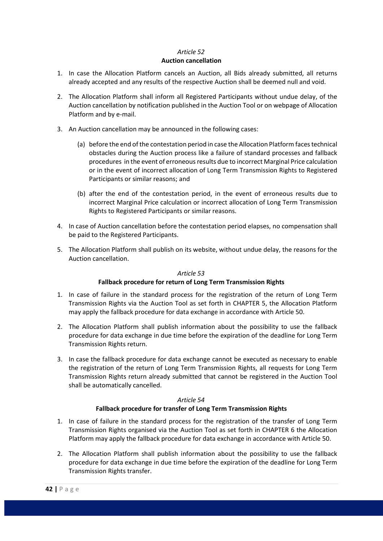# *Article 52* **Auction cancellation**

- <span id="page-41-0"></span>1. In case the Allocation Platform cancels an Auction, all Bids already submitted, all returns already accepted and any results of the respective Auction shall be deemed null and void.
- 2. The Allocation Platform shall inform all Registered Participants without undue delay, of the Auction cancellation by notification published in the Auction Tool or on webpage of Allocation Platform and by e-mail.
- 3. An Auction cancellation may be announced in the following cases:
	- (a) before the end of the contestation period in case the Allocation Platform faces technical obstacles during the Auction process like a failure of standard processes and fallback procedures in the event of erroneous results due to incorrect Marginal Price calculation or in the event of incorrect allocation of Long Term Transmission Rights to Registered Participants or similar reasons; and
	- (b) after the end of the contestation period, in the event of erroneous results due to incorrect Marginal Price calculation or incorrect allocation of Long Term Transmission Rights to Registered Participants or similar reasons.
- 4. In case of Auction cancellation before the contestation period elapses, no compensation shall be paid to the Registered Participants.
- 5. The Allocation Platform shall publish on its website, without undue delay, the reasons for the Auction cancellation.

#### *Article 53*

# **Fallback procedure for return of Long Term Transmission Rights**

- <span id="page-41-1"></span>1. In case of failure in the standard process for the registration of the return of Long Term Transmission Rights via the Auction Tool as set forth in CHAPTER 5, the Allocation Platform may apply the fallback procedure for data exchange in accordance with [Article 50.](#page-39-2)
- 2. The Allocation Platform shall publish information about the possibility to use the fallback procedure for data exchange in due time before the expiration of the deadline for Long Term Transmission Rights return.
- 3. In case the fallback procedure for data exchange cannot be executed as necessary to enable the registration of the return of Long Term Transmission Rights, all requests for Long Term Transmission Rights return already submitted that cannot be registered in the Auction Tool shall be automatically cancelled.

#### *Article 54*

# **Fallback procedure for transfer of Long Term Transmission Rights**

- <span id="page-41-2"></span>1. In case of failure in the standard process for the registration of the transfer of Long Term Transmission Rights organised via the Auction Tool as set forth in CHAPTER 6 the Allocation Platform may apply the fallback procedure for data exchange in accordance with [Article 50.](#page-39-2)
- 2. The Allocation Platform shall publish information about the possibility to use the fallback procedure for data exchange in due time before the expiration of the deadline for Long Term Transmission Rights transfer.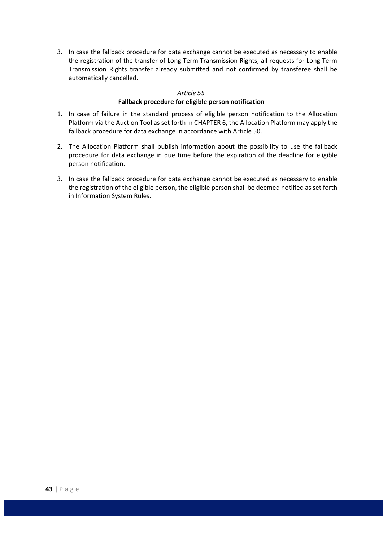3. In case the fallback procedure for data exchange cannot be executed as necessary to enable the registration of the transfer of Long Term Transmission Rights, all requests for Long Term Transmission Rights transfer already submitted and not confirmed by transferee shall be automatically cancelled.

#### *Article 55*

#### **Fallback procedure for eligible person notification**

- <span id="page-42-0"></span>1. In case of failure in the standard process of eligible person notification to the Allocation Platform via the Auction Tool as set forth in CHAPTER 6, the Allocation Platform may apply the fallback procedure for data exchange in accordance with [Article 50.](#page-39-2)
- 2. The Allocation Platform shall publish information about the possibility to use the fallback procedure for data exchange in due time before the expiration of the deadline for eligible person notification.
- 3. In case the fallback procedure for data exchange cannot be executed as necessary to enable the registration of the eligible person, the eligible person shall be deemed notified as set forth in Information System Rules.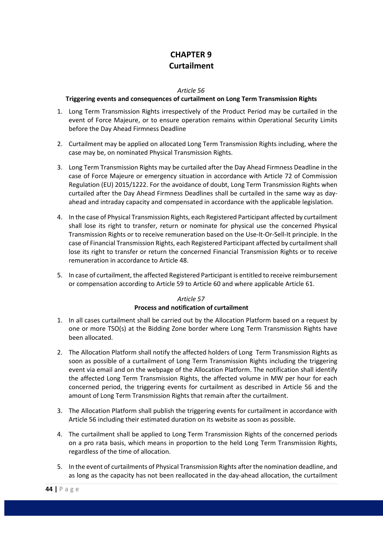# **CHAPTER 9 Curtailment**

#### *Article 56*

#### <span id="page-43-0"></span>**Triggering events and consequences of curtailment on Long Term Transmission Rights**

- <span id="page-43-1"></span>1. Long Term Transmission Rights irrespectively of the Product Period may be curtailed in the event of Force Majeure, or to ensure operation remains within Operational Security Limits before the Day Ahead Firmness Deadline
- 2. Curtailment may be applied on allocated Long Term Transmission Rights including, where the case may be, on nominated Physical Transmission Rights.
- 3. Long Term Transmission Rights may be curtailed after the Day Ahead Firmness Deadline in the case of Force Majeure or emergency situation in accordance with Article 72 of Commission Regulation (EU) 2015/1222. For the avoidance of doubt, Long Term Transmission Rights when curtailed after the Day Ahead Firmness Deadlines shall be curtailed in the same way as dayahead and intraday capacity and compensated in accordance with the applicable legislation.
- 4. In the case of Physical Transmission Rights, each Registered Participant affected by curtailment shall lose its right to transfer, return or nominate for physical use the concerned Physical Transmission Rights or to receive remuneration based on the Use-It-Or-Sell-It principle. In the case of Financial Transmission Rights, each Registered Participant affected by curtailment shall lose its right to transfer or return the concerned Financial Transmission Rights or to receive remuneration in accordance to [Article 48.](#page-37-1)
- 5. In case of curtailment, the affected Registered Participant is entitled to receive reimbursement or compensation according to [Article 59](#page-44-1) to [Article 60](#page-45-0) and where applicabl[e Article 61.](#page-46-0)

# *Article 57* **Process and notification of curtailment**

- <span id="page-43-2"></span>1. In all cases curtailment shall be carried out by the Allocation Platform based on a request by one or more TSO(s) at the Bidding Zone border where Long Term Transmission Rights have been allocated.
- 2. The Allocation Platform shall notify the affected holders of Long Term Transmission Rights as soon as possible of a curtailment of Long Term Transmission Rights including the triggering event via email and on the webpage of the Allocation Platform. The notification shall identify the affected Long Term Transmission Rights, the affected volume in MW per hour for each concerned period, the triggering events for curtailment as described in [Article 56](#page-43-1) and the amount of Long Term Transmission Rights that remain after the curtailment.
- 3. The Allocation Platform shall publish the triggering events for curtailment in accordance with [Article 56](#page-43-1) including their estimated duration on its website as soon as possible.
- 4. The curtailment shall be applied to Long Term Transmission Rights of the concerned periods on a pro rata basis, which means in proportion to the held Long Term Transmission Rights, regardless of the time of allocation.
- 5. In the event of curtailments of Physical Transmission Rights after the nomination deadline, and as long as the capacity has not been reallocated in the day-ahead allocation, the curtailment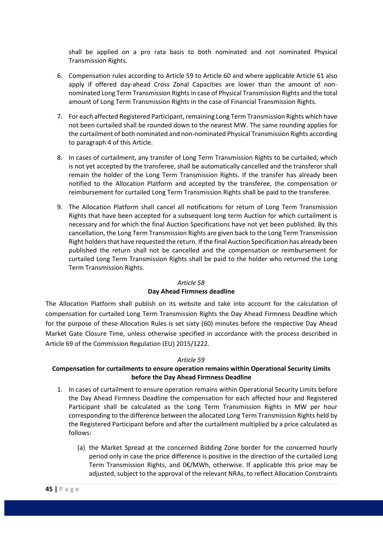shall be applied on a pro rata basis to both nominated and not nominated Physical Transmission Rights.

- 6. Compensation rules according to [Article 59](#page-44-1) to [Article 60](#page-45-0) and where applicable [Article 61](#page-46-0) also apply if offered day-ahead Cross Zonal Capacities are lower than the amount of nonnominated Long Term Transmission Rights in case of Physical Transmission Rights and the total amount of Long Term Transmission Rights in the case of Financial Transmission Rights.
- 7. For each affected Registered Participant, remaining Long Term Transmission Rights which have not been curtailed shall be rounded down to the nearest MW. The same rounding applies for the curtailment of both nominated and non-nominated Physical Transmission Rights according to paragraph 4 of this Article.
- 8. In cases of curtailment, any transfer of Long Term Transmission Rights to be curtailed, which is not yet accepted by the transferee, shall be automatically cancelled and the transferor shall remain the holder of the Long Term Transmission Rights. If the transfer has already been notified to the Allocation Platform and accepted by the transferee, the compensation or reimbursement for curtailed Long Term Transmission Rights shall be paid to the transferee.
- 9. The Allocation Platform shall cancel all notifications for return of Long Term Transmission Rights that have been accepted for a subsequent long term Auction for which curtailment is necessary and for which the final Auction Specifications have not yet been published. By this cancellation, the Long Term Transmission Rights are given back to the Long Term Transmission Right holders that have requested the return. If the final Auction Specification has already been published the return shall not be cancelled and the compensation or reimbursement for curtailed Long Term Transmission Rights shall be paid to the holder who returned the Long Term Transmission Rights.

#### *Article 58*

#### **Day Ahead Firmness deadline**

<span id="page-44-0"></span>The Allocation Platform shall publish on its website and take into account for the calculation of compensation for curtailed Long Term Transmission Rights the Day Ahead Firmness Deadline which for the purpose of these Allocation Rules is set sixty (60) minutes before the respective Day Ahead Market Gate Closure Time, unless otherwise specified in accordance with the process described in Article 69 of the Commission Regulation (EU) 2015/1222.

#### *Article 59*

#### <span id="page-44-1"></span>**Compensation for curtailments to ensure operation remains within Operational Security Limits before the Day Ahead Firmness Deadline**

- 1. In cases of curtailment to ensure operation remains within Operational Security Limits before the Day Ahead Firmness Deadline the compensation for each affected hour and Registered Participant shall be calculated as the Long Term Transmission Rights in MW per hour corresponding to the difference between the allocated Long Term Transmission Rights held by the Registered Participant before and after the curtailment multiplied by a price calculated as follows:
	- (a) the Market Spread at the concerned Bidding Zone border for the concerned hourly period only in case the price difference is positive in the direction of the curtailed Long Term Transmission Rights, and 0€/MWh, otherwise. If applicable this price may be adjusted, subject to the approval of the relevant NRAs, to reflect Allocation Constraints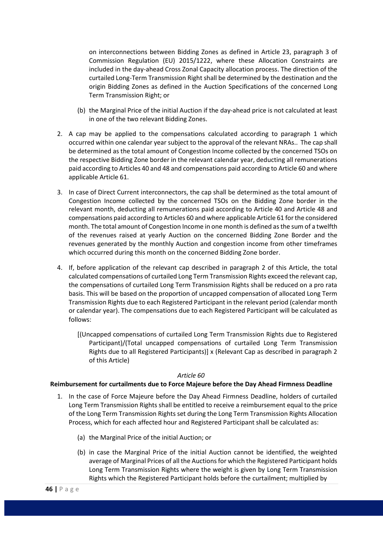on interconnections between Bidding Zones as defined in Article 23, paragraph 3 of Commission Regulation (EU) 2015/1222, where these Allocation Constraints are included in the day-ahead Cross Zonal Capacity allocation process. The direction of the curtailed Long-Term Transmission Right shall be determined by the destination and the origin Bidding Zones as defined in the Auction Specifications of the concerned Long Term Transmission Right; or

- (b) the Marginal Price of the initial Auction if the day-ahead price is not calculated at least in one of the two relevant Bidding Zones.
- 2. A cap may be applied to the compensations calculated according to paragraph 1 which occurred within one calendar year subject to the approval of the relevant NRAs.. The cap shall be determined as the total amount of Congestion Income collected by the concerned TSOs on the respective Bidding Zone border in the relevant calendar year, deducting all remunerations paid according to Articles 40 and 48 and compensations paid according to [Article 60](#page-45-0) and where applicable [Article 61.](#page-46-0)
- 3. In case of Direct Current interconnectors, the cap shall be determined as the total amount of Congestion Income collected by the concerned TSOs on the Bidding Zone border in the relevant month, deducting all remunerations paid according to [Article 40](#page-32-0) and [Article 48](#page-37-1) and compensations paid according to Articles 60 and where applicabl[e Article 61](#page-46-0) for the considered month. The total amount of Congestion Income in one month is defined as the sum of a twelfth of the revenues raised at yearly Auction on the concerned Bidding Zone Border and the revenues generated by the monthly Auction and congestion income from other timeframes which occurred during this month on the concerned Bidding Zone border.
- 4. If, before application of the relevant cap described in paragraph 2 of this Article, the total calculated compensations of curtailed Long Term Transmission Rights exceed the relevant cap, the compensations of curtailed Long Term Transmission Rights shall be reduced on a pro rata basis. This will be based on the proportion of uncapped compensation of allocated Long Term Transmission Rights due to each Registered Participant in the relevant period (calendar month or calendar year). The compensations due to each Registered Participant will be calculated as follows:
	- [(Uncapped compensations of curtailed Long Term Transmission Rights due to Registered Participant)/(Total uncapped compensations of curtailed Long Term Transmission Rights due to all Registered Participants)] x (Relevant Cap as described in paragraph 2 of this Article)

#### *Article 60*

#### <span id="page-45-0"></span>**Reimbursement for curtailments due to Force Majeure before the Day Ahead Firmness Deadline**

- 1. In the case of Force Majeure before the Day Ahead Firmness Deadline, holders of curtailed Long Term Transmission Rights shall be entitled to receive a reimbursement equal to the price of the Long Term Transmission Rights set during the Long Term Transmission Rights Allocation Process, which for each affected hour and Registered Participant shall be calculated as:
	- (a) the Marginal Price of the initial Auction; or
	- (b) in case the Marginal Price of the initial Auction cannot be identified, the weighted average of Marginal Prices of all the Auctions for which the Registered Participant holds Long Term Transmission Rights where the weight is given by Long Term Transmission Rights which the Registered Participant holds before the curtailment; multiplied by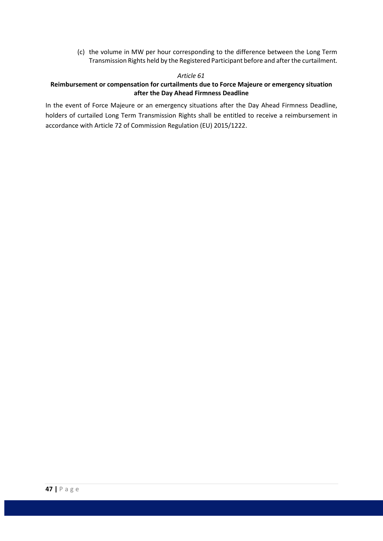(c) the volume in MW per hour corresponding to the difference between the Long Term Transmission Rights held by the Registered Participant before and after the curtailment.

### *Article 61*

# <span id="page-46-0"></span>**Reimbursement or compensation for curtailments due to Force Majeure or emergency situation after the Day Ahead Firmness Deadline**

In the event of Force Majeure or an emergency situations after the Day Ahead Firmness Deadline, holders of curtailed Long Term Transmission Rights shall be entitled to receive a reimbursement in accordance with Article 72 of Commission Regulation (EU) 2015/1222.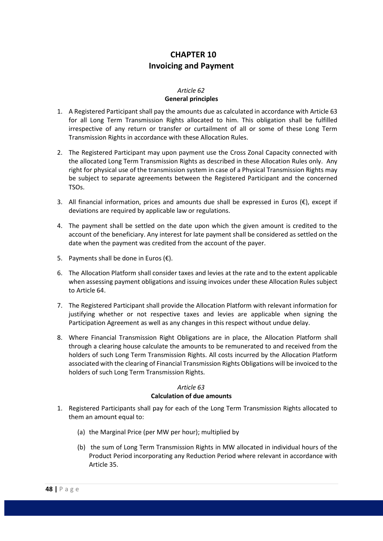# **CHAPTER 10 Invoicing and Payment**

#### *Article 62* **General principles**

- <span id="page-47-1"></span><span id="page-47-0"></span>1. A Registered Participant shall pay the amounts due as calculated in accordance with Article 63 for all Long Term Transmission Rights allocated to him. This obligation shall be fulfilled irrespective of any return or transfer or curtailment of all or some of these Long Term Transmission Rights in accordance with these Allocation Rules.
- 2. The Registered Participant may upon payment use the Cross Zonal Capacity connected with the allocated Long Term Transmission Rights as described in these Allocation Rules only. Any right for physical use of the transmission system in case of a Physical Transmission Rights may be subject to separate agreements between the Registered Participant and the concerned TSOs.
- 3. All financial information, prices and amounts due shall be expressed in Euros  $(€)$ , except if deviations are required by applicable law or regulations.
- 4. The payment shall be settled on the date upon which the given amount is credited to the account of the beneficiary. Any interest for late payment shall be considered as settled on the date when the payment was credited from the account of the payer.
- 5. Payments shall be done in Euros  $(\epsilon)$ .
- 6. The Allocation Platform shall consider taxes and levies at the rate and to the extent applicable when assessing payment obligations and issuing invoices under these Allocation Rules subject to [Article 64.](#page-48-0)
- 7. The Registered Participant shall provide the Allocation Platform with relevant information for justifying whether or not respective taxes and levies are applicable when signing the Participation Agreement as well as any changes in this respect without undue delay.
- 8. Where Financial Transmission Right Obligations are in place, the Allocation Platform shall through a clearing house calculate the amounts to be remunerated to and received from the holders of such Long Term Transmission Rights. All costs incurred by the Allocation Platform associated with the clearing of Financial Transmission Rights Obligations will be invoiced to the holders of such Long Term Transmission Rights.

#### *Article 63*

#### **Calculation of due amounts**

- <span id="page-47-2"></span>1. Registered Participants shall pay for each of the Long Term Transmission Rights allocated to them an amount equal to:
	- (a) the Marginal Price (per MW per hour); multiplied by
	- (b) the sum of Long Term Transmission Rights in MW allocated in individual hours of the Product Period incorporating any Reduction Period where relevant in accordance with [Article 35.](#page-27-0)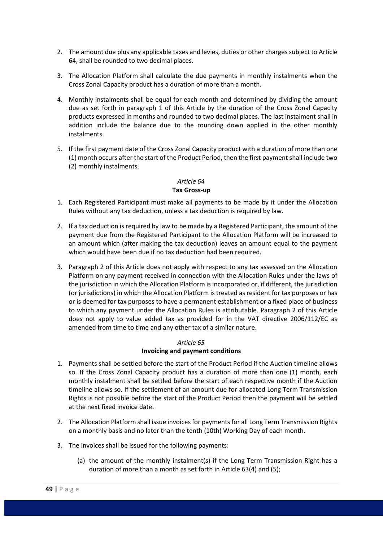- 2. The amount due plus any applicable taxes and levies, duties or other charges subject t[o Article](#page-48-0)  [64,](#page-48-0) shall be rounded to two decimal places.
- 3. The Allocation Platform shall calculate the due payments in monthly instalments when the Cross Zonal Capacity product has a duration of more than a month.
- 4. Monthly instalments shall be equal for each month and determined by dividing the amount due as set forth in paragraph 1 of this Article by the duration of the Cross Zonal Capacity products expressed in months and rounded to two decimal places. The last instalment shall in addition include the balance due to the rounding down applied in the other monthly instalments.
- 5. If the first payment date of the Cross Zonal Capacity product with a duration of more than one (1) month occurs after the start of the Product Period, then the first payment shall include two (2) monthly instalments.

# *Article 64*

# **Tax Gross-up**

- <span id="page-48-0"></span>1. Each Registered Participant must make all payments to be made by it under the Allocation Rules without any tax deduction, unless a tax deduction is required by law.
- 2. If a tax deduction is required by law to be made by a Registered Participant, the amount of the payment due from the Registered Participant to the Allocation Platform will be increased to an amount which (after making the tax deduction) leaves an amount equal to the payment which would have been due if no tax deduction had been required.
- 3. Paragraph 2 of this Article does not apply with respect to any tax assessed on the Allocation Platform on any payment received in connection with the Allocation Rules under the laws of the jurisdiction in which the Allocation Platform is incorporated or, if different, the jurisdiction (or jurisdictions) in which the Allocation Platform is treated as resident for tax purposes or has or is deemed for tax purposes to have a permanent establishment or a fixed place of business to which any payment under the Allocation Rules is attributable. Paragraph 2 of this Article does not apply to value added tax as provided for in the VAT directive 2006/112/EC as amended from time to time and any other tax of a similar nature.

# *Article 65* **Invoicing and payment conditions**

- <span id="page-48-1"></span>1. Payments shall be settled before the start of the Product Period if the Auction timeline allows so. If the Cross Zonal Capacity product has a duration of more than one (1) month, each monthly instalment shall be settled before the start of each respective month if the Auction timeline allows so. If the settlement of an amount due for allocated Long Term Transmission Rights is not possible before the start of the Product Period then the payment will be settled at the next fixed invoice date.
- 2. The Allocation Platform shall issue invoices for payments for all Long Term Transmission Rights on a monthly basis and no later than the tenth (10th) Working Day of each month.
- 3. The invoices shall be issued for the following payments:
	- (a) the amount of the monthly instalment(s) if the Long Term Transmission Right has a duration of more than a month as set forth in [Article 63\(](#page-47-2)4) and (5);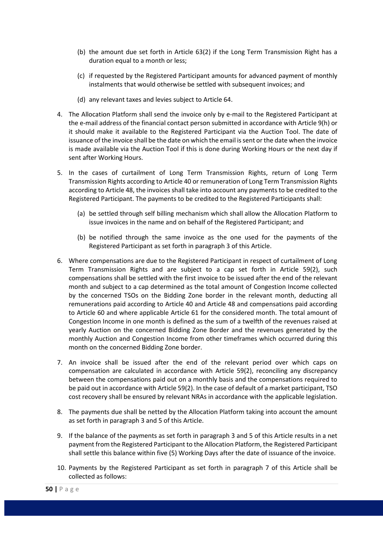- (b) the amount due set forth in [Article 63\(](#page-47-2)2) if the Long Term Transmission Right has a duration equal to a month or less;
- (c) if requested by the Registered Participant amounts for advanced payment of monthly instalments that would otherwise be settled with subsequent invoices; and
- (d) any relevant taxes and levies subject to [Article 64.](#page-48-0)
- 4. The Allocation Platform shall send the invoice only by e-mail to the Registered Participant at the e-mail address of the financial contact person submitted in accordance with Article 9(h) or it should make it available to the Registered Participant via the Auction Tool. The date of issuance of the invoice shall be the date on which the email is sent or the date when the invoice is made available via the Auction Tool if this is done during Working Hours or the next day if sent after Working Hours.
- 5. In the cases of curtailment of Long Term Transmission Rights, return of Long Term Transmission Rights according t[o Article 40](#page-32-0) or remuneration of Long Term Transmission Rights according t[o Article 48,](#page-37-1) the invoices shall take into account any payments to be credited to the Registered Participant. The payments to be credited to the Registered Participants shall:
	- (a) be settled through self billing mechanism which shall allow the Allocation Platform to issue invoices in the name and on behalf of the Registered Participant; and
	- (b) be notified through the same invoice as the one used for the payments of the Registered Participant as set forth in paragraph 3 of this Article.
- 6. Where compensations are due to the Registered Participant in respect of curtailment of Long Term Transmission Rights and are subject to a cap set forth in [Article 59\(](#page-44-1)2), such compensations shall be settled with the first invoice to be issued after the end of the relevant month and subject to a cap determined as the total amount of Congestion Income collected by the concerned TSOs on the Bidding Zone border in the relevant month, deducting all remunerations paid according to [Article 40](#page-32-0) and [Article 48](#page-37-1) and compensations paid according to [Article 60](#page-45-0) and where applicable [Article 61](#page-46-0) for the considered month. The total amount of Congestion Income in one month is defined as the sum of a twelfth of the revenues raised at yearly Auction on the concerned Bidding Zone Border and the revenues generated by the monthly Auction and Congestion Income from other timeframes which occurred during this month on the concerned Bidding Zone border.
- 7. An invoice shall be issued after the end of the relevant period over which caps on compensation are calculated in accordance with [Article 59\(](#page-44-1)2), reconciling any discrepancy between the compensations paid out on a monthly basis and the compensations required to be paid out in accordance wit[h Article 59\(](#page-44-1)2). In the case of default of a market participant, TSO cost recovery shall be ensured by relevant NRAs in accordance with the applicable legislation.
- 8. The payments due shall be netted by the Allocation Platform taking into account the amount as set forth in paragraph 3 and 5 of this Article.
- 9. If the balance of the payments as set forth in paragraph 3 and 5 of this Article results in a net payment from the Registered Participant to the Allocation Platform, the Registered Participant shall settle this balance within five (5) Working Days after the date of issuance of the invoice.
- 10. Payments by the Registered Participant as set forth in paragraph 7 of this Article shall be collected as follows: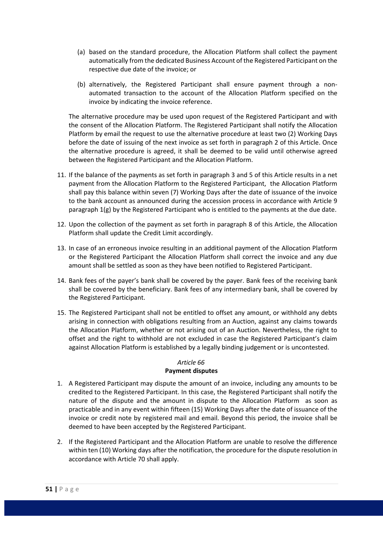- (a) based on the standard procedure, the Allocation Platform shall collect the payment automatically from the dedicated Business Account of the Registered Participant on the respective due date of the invoice; or
- (b) alternatively, the Registered Participant shall ensure payment through a nonautomated transaction to the account of the Allocation Platform specified on the invoice by indicating the invoice reference.

The alternative procedure may be used upon request of the Registered Participant and with the consent of the Allocation Platform. The Registered Participant shall notify the Allocation Platform by email the request to use the alternative procedure at least two (2) Working Days before the date of issuing of the next invoice as set forth in paragraph 2 of this Article. Once the alternative procedure is agreed, it shall be deemed to be valid until otherwise agreed between the Registered Participant and the Allocation Platform.

- 11. If the balance of the payments as set forth in paragraph 3 and 5 of this Article results in a net payment from the Allocation Platform to the Registered Participant, the Allocation Platform shall pay this balance within seven (7) Working Days after the date of issuance of the invoice to the bank account as announced during the accession process in accordance with [Article 9](#page-13-1) paragraph 1(g) by the Registered Participant who is entitled to the payments at the due date.
- 12. Upon the collection of the payment as set forth in paragraph 8 of this Article, the Allocation Platform shall update the Credit Limit accordingly.
- 13. In case of an erroneous invoice resulting in an additional payment of the Allocation Platform or the Registered Participant the Allocation Platform shall correct the invoice and any due amount shall be settled as soon as they have been notified to Registered Participant.
- 14. Bank fees of the payer's bank shall be covered by the payer. Bank fees of the receiving bank shall be covered by the beneficiary. Bank fees of any intermediary bank, shall be covered by the Registered Participant.
- 15. The Registered Participant shall not be entitled to offset any amount, or withhold any debts arising in connection with obligations resulting from an Auction, against any claims towards the Allocation Platform, whether or not arising out of an Auction. Nevertheless, the right to offset and the right to withhold are not excluded in case the Registered Participant's claim against Allocation Platform is established by a legally binding judgement or is uncontested.

# *Article 66* **Payment disputes**

- <span id="page-50-0"></span>1. A Registered Participant may dispute the amount of an invoice, including any amounts to be credited to the Registered Participant. In this case, the Registered Participant shall notify the nature of the dispute and the amount in dispute to the Allocation Platform as soon as practicable and in any event within fifteen (15) Working Days after the date of issuance of the invoice or credit note by registered mail and email. Beyond this period, the invoice shall be deemed to have been accepted by the Registered Participant.
- 2. If the Registered Participant and the Allocation Platform are unable to resolve the difference within ten (10) Working days after the notification, the procedure for the dispute resolution in accordance with [Article 70](#page-54-0) shall apply.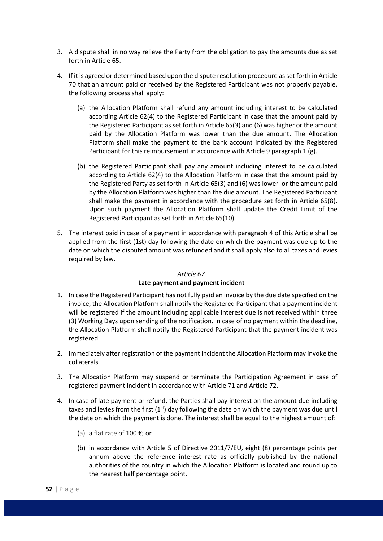- 3. A dispute shall in no way relieve the Party from the obligation to pay the amounts due as set forth i[n Article 65.](#page-48-1)
- 4. If it is agreed or determined based upon the dispute resolution procedure as set forth i[n Article](#page-54-0)  [70](#page-54-0) that an amount paid or received by the Registered Participant was not properly payable, the following process shall apply:
	- (a) the Allocation Platform shall refund any amount including interest to be calculated according [Article 62\(](#page-47-1)4) to the Registered Participant in case that the amount paid by the Registered Participant as set forth i[n Article 65\(](#page-48-1)3) and (6) was higher or the amount paid by the Allocation Platform was lower than the due amount. The Allocation Platform shall make the payment to the bank account indicated by the Registered Participant for this reimbursement in accordance wit[h Article 9](#page-13-1) paragraph 1 (g).
	- (b) the Registered Participant shall pay any amount including interest to be calculated according to [Article 62\(](#page-47-1)4) to the Allocation Platform in case that the amount paid by the Registered Party as set forth in [Article 65\(](#page-48-1)3) and (6) was lower or the amount paid by the Allocation Platform was higher than the due amount. The Registered Participant shall make the payment in accordance with the procedure set forth in [Article 65\(](#page-48-1)8). Upon such payment the Allocation Platform shall update the Credit Limit of the Registered Participant as set forth i[n Article 65\(](#page-48-1)10).
- 5. The interest paid in case of a payment in accordance with paragraph 4 of this Article shall be applied from the first (1st) day following the date on which the payment was due up to the date on which the disputed amount was refunded and it shall apply also to all taxes and levies required by law.

### *Article 67* **Late payment and payment incident**

- <span id="page-51-0"></span>1. In case the Registered Participant has not fully paid an invoice by the due date specified on the invoice, the Allocation Platform shall notify the Registered Participant that a payment incident will be registered if the amount including applicable interest due is not received within three (3) Working Days upon sending of the notification. In case of no payment within the deadline, the Allocation Platform shall notify the Registered Participant that the payment incident was registered.
- 2. Immediately after registration of the payment incident the Allocation Platform may invoke the collaterals.
- 3. The Allocation Platform may suspend or terminate the Participation Agreement in case of registered payment incident in accordance wit[h Article 71](#page-55-0) and [Article 72.](#page-56-0)
- 4. In case of late payment or refund, the Parties shall pay interest on the amount due including taxes and levies from the first  $(1<sup>st</sup>)$  day following the date on which the payment was due until the date on which the payment is done. The interest shall be equal to the highest amount of:
	- (a) a flat rate of 100  $\epsilon$ ; or
	- (b) in accordance with Article 5 of Directive 2011/7/EU, eight (8) percentage points per annum above the reference interest rate as officially published by the national authorities of the country in which the Allocation Platform is located and round up to the nearest half percentage point.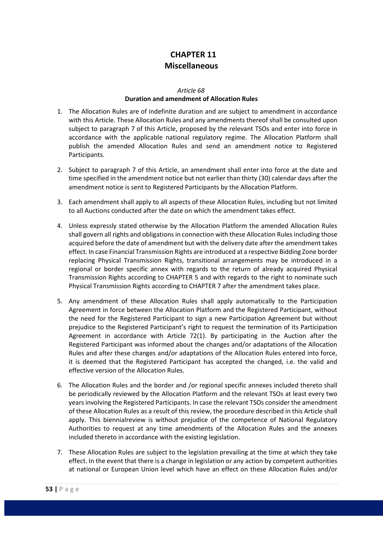# **CHAPTER 11 Miscellaneous**

#### *Article 68* **Duration and amendment of Allocation Rules**

- <span id="page-52-1"></span><span id="page-52-0"></span>1. The Allocation Rules are of indefinite duration and are subject to amendment in accordance with this Article. These Allocation Rules and any amendments thereof shall be consulted upon subject to paragraph 7 of this Article, proposed by the relevant TSOs and enter into force in accordance with the applicable national regulatory regime. The Allocation Platform shall publish the amended Allocation Rules and send an amendment notice to Registered Participants.
- 2. Subject to paragraph 7 of this Article, an amendment shall enter into force at the date and time specified in the amendment notice but not earlier than thirty (30) calendar days after the amendment notice is sent to Registered Participants by the Allocation Platform.
- 3. Each amendment shall apply to all aspects of these Allocation Rules, including but not limited to all Auctions conducted after the date on which the amendment takes effect.
- 4. Unless expressly stated otherwise by the Allocation Platform the amended Allocation Rules shall govern all rights and obligations in connection with these Allocation Rules including those acquired before the date of amendment but with the delivery date after the amendment takes effect. In case Financial Transmission Rights are introduced at a respective Bidding Zone border replacing Physical Transmission Rights, transitional arrangements may be introduced in a regional or border specific annex with regards to the return of already acquired Physical Transmission Rights according to CHAPTER 5 and with regards to the right to nominate such Physical Transmission Rights according to CHAPTER 7 after the amendment takes place.
- 5. Any amendment of these Allocation Rules shall apply automatically to the Participation Agreement in force between the Allocation Platform and the Registered Participant, without the need for the Registered Participant to sign a new Participation Agreement but without prejudice to the Registered Participant's right to request the termination of its Participation Agreement in accordance with [Article 72\(](#page-56-0)1). By participating in the Auction after the Registered Participant was informed about the changes and/or adaptations of the Allocation Rules and after these changes and/or adaptations of the Allocation Rules entered into force, it is deemed that the Registered Participant has accepted the changed, i.e. the valid and effective version of the Allocation Rules.
- 6. The Allocation Rules and the border and /or regional specific annexes included thereto shall be periodically reviewed by the Allocation Platform and the relevant TSOs at least every two years involving the Registered Participants. In case the relevant TSOs consider the amendment of these Allocation Rules as a result of this review, the procedure described in this Article shall apply. This biennialreview is without prejudice of the competence of National Regulatory Authorities to request at any time amendments of the Allocation Rules and the annexes included thereto in accordance with the existing legislation.
- 7. These Allocation Rules are subject to the legislation prevailing at the time at which they take effect. In the event that there is a change in legislation or any action by competent authorities at national or European Union level which have an effect on these Allocation Rules and/or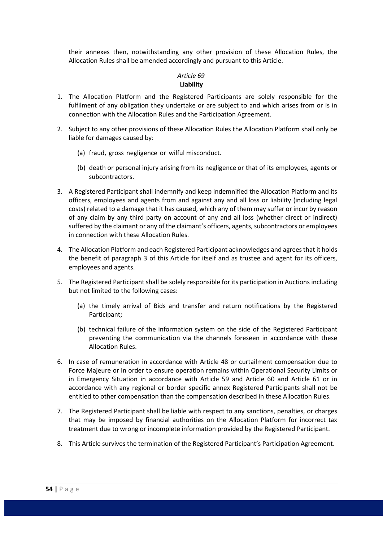their annexes then, notwithstanding any other provision of these Allocation Rules, the Allocation Rules shall be amended accordingly and pursuant to this Article.

### *Article 69* **Liability**

- <span id="page-53-0"></span>1. The Allocation Platform and the Registered Participants are solely responsible for the fulfilment of any obligation they undertake or are subject to and which arises from or is in connection with the Allocation Rules and the Participation Agreement.
- 2. Subject to any other provisions of these Allocation Rules the Allocation Platform shall only be liable for damages caused by:
	- (a) fraud, gross negligence or wilful misconduct.
	- (b) death or personal injury arising from its negligence or that of its employees, agents or subcontractors.
- 3. A Registered Participant shall indemnify and keep indemnified the Allocation Platform and its officers, employees and agents from and against any and all loss or liability (including legal costs) related to a damage that it has caused, which any of them may suffer or incur by reason of any claim by any third party on account of any and all loss (whether direct or indirect) suffered by the claimant or any of the claimant's officers, agents, subcontractors or employees in connection with these Allocation Rules.
- 4. The Allocation Platform and each Registered Participant acknowledges and agrees that it holds the benefit of paragraph 3 of this Article for itself and as trustee and agent for its officers, employees and agents.
- 5. The Registered Participant shall be solely responsible for its participation in Auctions including but not limited to the following cases:
	- (a) the timely arrival of Bids and transfer and return notifications by the Registered Participant;
	- (b) technical failure of the information system on the side of the Registered Participant preventing the communication via the channels foreseen in accordance with these Allocation Rules.
- 6. In case of remuneration in accordance with Article 48 or curtailment compensation due to Force Majeure or in order to ensure operation remains within Operational Security Limits or in Emergency Situation in accordance with [Article 59](#page-44-1) and [Article 60](#page-45-0) and [Article 61](#page-46-0) or in accordance with any regional or border specific annex Registered Participants shall not be entitled to other compensation than the compensation described in these Allocation Rules.
- 7. The Registered Participant shall be liable with respect to any sanctions, penalties, or charges that may be imposed by financial authorities on the Allocation Platform for incorrect tax treatment due to wrong or incomplete information provided by the Registered Participant.
- 8. This Article survives the termination of the Registered Participant's Participation Agreement.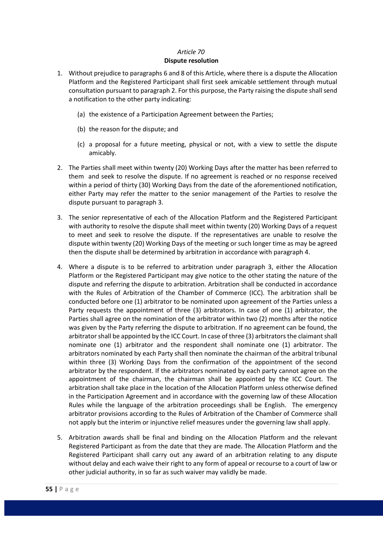# *Article 70* **Dispute resolution**

- <span id="page-54-0"></span>1. Without prejudice to paragraphs 6 and 8 of this Article, where there is a dispute the Allocation Platform and the Registered Participant shall first seek amicable settlement through mutual consultation pursuant to paragraph 2. For this purpose, the Party raising the dispute shall send a notification to the other party indicating:
	- (a) the existence of a Participation Agreement between the Parties;
	- (b) the reason for the dispute; and
	- (c) a proposal for a future meeting, physical or not, with a view to settle the dispute amicably.
- 2. The Parties shall meet within twenty (20) Working Days after the matter has been referred to them and seek to resolve the dispute. If no agreement is reached or no response received within a period of thirty (30) Working Days from the date of the aforementioned notification, either Party may refer the matter to the senior management of the Parties to resolve the dispute pursuant to paragraph 3.
- 3. The senior representative of each of the Allocation Platform and the Registered Participant with authority to resolve the dispute shall meet within twenty (20) Working Days of a request to meet and seek to resolve the dispute. If the representatives are unable to resolve the dispute within twenty (20) Working Days of the meeting or such longer time as may be agreed then the dispute shall be determined by arbitration in accordance with paragraph 4.
- 4. Where a dispute is to be referred to arbitration under paragraph 3, either the Allocation Platform or the Registered Participant may give notice to the other stating the nature of the dispute and referring the dispute to arbitration. Arbitration shall be conducted in accordance with the Rules of Arbitration of the Chamber of Commerce (ICC). The arbitration shall be conducted before one (1) arbitrator to be nominated upon agreement of the Parties unless a Party requests the appointment of three (3) arbitrators. In case of one (1) arbitrator, the Parties shall agree on the nomination of the arbitrator within two (2) months after the notice was given by the Party referring the dispute to arbitration. If no agreement can be found, the arbitrator shall be appointed by the ICC Court. In case of three (3) arbitrators the claimant shall nominate one (1) arbitrator and the respondent shall nominate one (1) arbitrator. The arbitrators nominated by each Party shall then nominate the chairman of the arbitral tribunal within three (3) Working Days from the confirmation of the appointment of the second arbitrator by the respondent. If the arbitrators nominated by each party cannot agree on the appointment of the chairman, the chairman shall be appointed by the ICC Court. The arbitration shall take place in the location of the Allocation Platform unless otherwise defined in the Participation Agreement and in accordance with the governing law of these Allocation Rules while the language of the arbitration proceedings shall be English. The emergency arbitrator provisions according to the Rules of Arbitration of the Chamber of Commerce shall not apply but the interim or injunctive relief measures under the governing law shall apply.
- 5. Arbitration awards shall be final and binding on the Allocation Platform and the relevant Registered Participant as from the date that they are made. The Allocation Platform and the Registered Participant shall carry out any award of an arbitration relating to any dispute without delay and each waive their right to any form of appeal or recourse to a court of law or other judicial authority, in so far as such waiver may validly be made.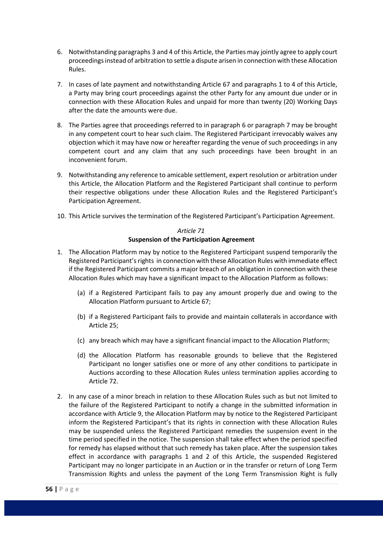- 6. Notwithstanding paragraphs 3 and 4 of this Article, the Parties may jointly agree to apply court proceedings instead of arbitration to settle a dispute arisen in connection with these Allocation Rules.
- 7. In cases of late payment and notwithstanding [Article 67](#page-51-0) and paragraphs 1 to 4 of this Article, a Party may bring court proceedings against the other Party for any amount due under or in connection with these Allocation Rules and unpaid for more than twenty (20) Working Days after the date the amounts were due.
- 8. The Parties agree that proceedings referred to in paragraph 6 or paragraph 7 may be brought in any competent court to hear such claim. The Registered Participant irrevocably waives any objection which it may have now or hereafter regarding the venue of such proceedings in any competent court and any claim that any such proceedings have been brought in an inconvenient forum.
- 9. Notwithstanding any reference to amicable settlement, expert resolution or arbitration under this Article, the Allocation Platform and the Registered Participant shall continue to perform their respective obligations under these Allocation Rules and the Registered Participant's Participation Agreement.
- 10. This Article survives the termination of the Registered Participant's Participation Agreement.

# *Article 71* **Suspension of the Participation Agreement**

- <span id="page-55-0"></span>1. The Allocation Platform may by notice to the Registered Participant suspend temporarily the Registered Participant's rights in connection with these Allocation Rules with immediate effect if the Registered Participant commits a major breach of an obligation in connection with these Allocation Rules which may have a significant impact to the Allocation Platform as follows:
	- (a) if a Registered Participant fails to pay any amount properly due and owing to the Allocation Platform pursuant to [Article 67;](#page-51-0)
	- (b) if a Registered Participant fails to provide and maintain collaterals in accordance with Article 25;
	- (c) any breach which may have a significant financial impact to the Allocation Platform;
	- (d) the Allocation Platform has reasonable grounds to believe that the Registered Participant no longer satisfies one or more of any other conditions to participate in Auctions according to these Allocation Rules unless termination applies according to [Article 72.](#page-56-0)
- 2. In any case of a minor breach in relation to these Allocation Rules such as but not limited to the failure of the Registered Participant to notify a change in the submitted information in accordance with Article 9, the Allocation Platform may by notice to the Registered Participant inform the Registered Participant's that its rights in connection with these Allocation Rules may be suspended unless the Registered Participant remedies the suspension event in the time period specified in the notice. The suspension shall take effect when the period specified for remedy has elapsed without that such remedy has taken place. After the suspension takes effect in accordance with paragraphs 1 and 2 of this Article, the suspended Registered Participant may no longer participate in an Auction or in the transfer or return of Long Term Transmission Rights and unless the payment of the Long Term Transmission Right is fully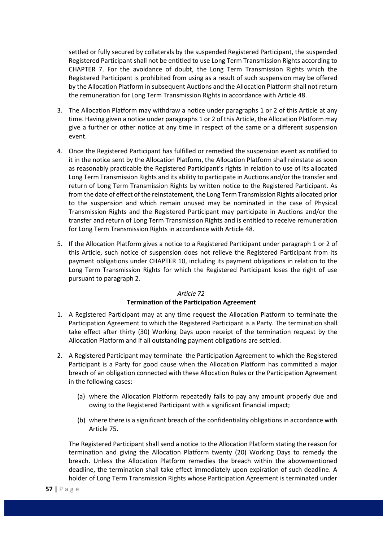settled or fully secured by collaterals by the suspended Registered Participant, the suspended Registered Participant shall not be entitled to use Long Term Transmission Rights according to CHAPTER 7. For the avoidance of doubt, the Long Term Transmission Rights which the Registered Participant is prohibited from using as a result of such suspension may be offered by the Allocation Platform in subsequent Auctions and the Allocation Platform shall not return the remuneration for Long Term Transmission Rights in accordance with [Article 48.](#page-37-1)

- 3. The Allocation Platform may withdraw a notice under paragraphs 1 or 2 of this Article at any time. Having given a notice under paragraphs 1 or 2 of this Article, the Allocation Platform may give a further or other notice at any time in respect of the same or a different suspension event.
- 4. Once the Registered Participant has fulfilled or remedied the suspension event as notified to it in the notice sent by the Allocation Platform, the Allocation Platform shall reinstate as soon as reasonably practicable the Registered Participant's rights in relation to use of its allocated Long Term Transmission Rights and its ability to participate in Auctions and/or the transfer and return of Long Term Transmission Rights by written notice to the Registered Participant. As from the date of effect of the reinstatement, the Long Term Transmission Rights allocated prior to the suspension and which remain unused may be nominated in the case of Physical Transmission Rights and the Registered Participant may participate in Auctions and/or the transfer and return of Long Term Transmission Rights and is entitled to receive remuneration for Long Term Transmission Rights in accordance with [Article 48.](#page-37-1)
- 5. If the Allocation Platform gives a notice to a Registered Participant under paragraph 1 or 2 of this Article, such notice of suspension does not relieve the Registered Participant from its payment obligations under CHAPTER 10, including its payment obligations in relation to the Long Term Transmission Rights for which the Registered Participant loses the right of use pursuant to paragraph 2.

# *Article 72* **Termination of the Participation Agreement**

- <span id="page-56-0"></span>1. A Registered Participant may at any time request the Allocation Platform to terminate the Participation Agreement to which the Registered Participant is a Party. The termination shall take effect after thirty (30) Working Days upon receipt of the termination request by the Allocation Platform and if all outstanding payment obligations are settled.
- 2. A Registered Participant may terminate the Participation Agreement to which the Registered Participant is a Party for good cause when the Allocation Platform has committed a major breach of an obligation connected with these Allocation Rules or the Participation Agreement in the following cases:
	- (a) where the Allocation Platform repeatedly fails to pay any amount properly due and owing to the Registered Participant with a significant financial impact;
	- (b) where there is a significant breach of the confidentiality obligations in accordance with [Article 75.](#page-59-1)

The Registered Participant shall send a notice to the Allocation Platform stating the reason for termination and giving the Allocation Platform twenty (20) Working Days to remedy the breach. Unless the Allocation Platform remedies the breach within the abovementioned deadline, the termination shall take effect immediately upon expiration of such deadline. A holder of Long Term Transmission Rights whose Participation Agreement is terminated under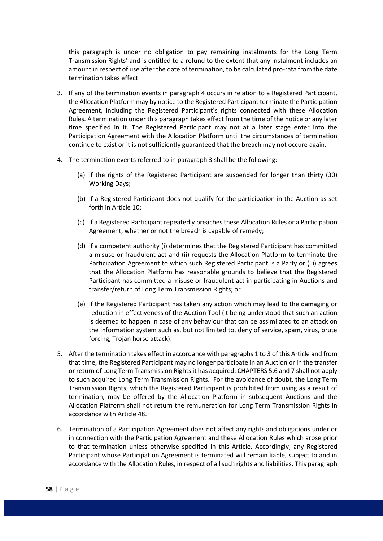this paragraph is under no obligation to pay remaining instalments for the Long Term Transmission Rights' and is entitled to a refund to the extent that any instalment includes an amount in respect of use after the date of termination, to be calculated pro-rata from the date termination takes effect.

- 3. If any of the termination events in paragraph 4 occurs in relation to a Registered Participant, the Allocation Platform may by notice to the Registered Participant terminate the Participation Agreement, including the Registered Participant's rights connected with these Allocation Rules. A termination under this paragraph takes effect from the time of the notice or any later time specified in it. The Registered Participant may not at a later stage enter into the Participation Agreement with the Allocation Platform until the circumstances of termination continue to exist or it is not sufficiently guaranteed that the breach may not occure again.
- 4. The termination events referred to in paragraph 3 shall be the following:
	- (a) if the rights of the Registered Participant are suspended for longer than thirty (30) Working Days;
	- (b) if a Registered Participant does not qualify for the participation in the Auction as set forth in Article 10;
	- (c) if a Registered Participant repeatedly breaches these Allocation Rules or a Participation Agreement, whether or not the breach is capable of remedy;
	- (d) if a competent authority (i) determines that the Registered Participant has committed a misuse or fraudulent act and (ii) requests the Allocation Platform to terminate the Participation Agreement to which such Registered Participant is a Party or (iii) agrees that the Allocation Platform has reasonable grounds to believe that the Registered Participant has committed a misuse or fraudulent act in participating in Auctions and transfer/return of Long Term Transmission Rights; or
	- (e) if the Registered Participant has taken any action which may lead to the damaging or reduction in effectiveness of the Auction Tool (it being understood that such an action is deemed to happen in case of any behaviour that can be assimilated to an attack on the information system such as, but not limited to, deny of service, spam, virus, brute forcing, Trojan horse attack).
- 5. After the termination takes effect in accordance with paragraphs 1 to 3 of this Article and from that time, the Registered Participant may no longer participate in an Auction or in the transfer or return of Long Term Transmission Rights it has acquired. CHAPTERS 5,6 and 7 shall not apply to such acquired Long Term Transmission Rights. For the avoidance of doubt, the Long Term Transmission Rights, which the Registered Participant is prohibited from using as a result of termination, may be offered by the Allocation Platform in subsequent Auctions and the Allocation Platform shall not return the remuneration for Long Term Transmission Rights in accordance with [Article 48.](#page-37-1)
- 6. Termination of a Participation Agreement does not affect any rights and obligations under or in connection with the Participation Agreement and these Allocation Rules which arose prior to that termination unless otherwise specified in this Article. Accordingly, any Registered Participant whose Participation Agreement is terminated will remain liable, subject to and in accordance with the Allocation Rules, in respect of all such rights and liabilities. This paragraph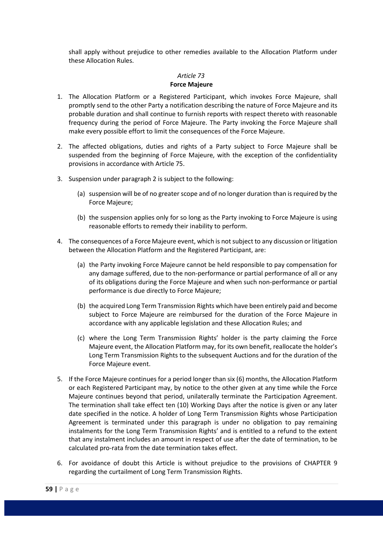shall apply without prejudice to other remedies available to the Allocation Platform under these Allocation Rules.

## *Article 73* **Force Majeure**

- <span id="page-58-0"></span>1. The Allocation Platform or a Registered Participant, which invokes Force Majeure, shall promptly send to the other Party a notification describing the nature of Force Majeure and its probable duration and shall continue to furnish reports with respect thereto with reasonable frequency during the period of Force Majeure. The Party invoking the Force Majeure shall make every possible effort to limit the consequences of the Force Majeure.
- 2. The affected obligations, duties and rights of a Party subject to Force Majeure shall be suspended from the beginning of Force Majeure, with the exception of the confidentiality provisions in accordance wit[h Article 75.](#page-59-1)
- 3. Suspension under paragraph 2 is subject to the following:
	- (a) suspension will be of no greater scope and of no longer duration than is required by the Force Majeure;
	- (b) the suspension applies only for so long as the Party invoking to Force Majeure is using reasonable efforts to remedy their inability to perform.
- 4. The consequences of a Force Majeure event, which is not subject to any discussion or litigation between the Allocation Platform and the Registered Participant, are:
	- (a) the Party invoking Force Majeure cannot be held responsible to pay compensation for any damage suffered, due to the non-performance or partial performance of all or any of its obligations during the Force Majeure and when such non-performance or partial performance is due directly to Force Majeure;
	- (b) the acquired Long Term Transmission Rights which have been entirely paid and become subject to Force Majeure are reimbursed for the duration of the Force Majeure in accordance with any applicable legislation and these Allocation Rules; and
	- (c) where the Long Term Transmission Rights' holder is the party claiming the Force Majeure event, the Allocation Platform may, for its own benefit, reallocate the holder's Long Term Transmission Rights to the subsequent Auctions and for the duration of the Force Majeure event.
- 5. If the Force Majeure continues for a period longer than six (6) months, the Allocation Platform or each Registered Participant may, by notice to the other given at any time while the Force Majeure continues beyond that period, unilaterally terminate the Participation Agreement. The termination shall take effect ten (10) Working Days after the notice is given or any later date specified in the notice. A holder of Long Term Transmission Rights whose Participation Agreement is terminated under this paragraph is under no obligation to pay remaining instalments for the Long Term Transmission Rights' and is entitled to a refund to the extent that any instalment includes an amount in respect of use after the date of termination, to be calculated pro-rata from the date termination takes effect.
- 6. For avoidance of doubt this Article is without prejudice to the provisions of CHAPTER 9 regarding the curtailment of Long Term Transmission Rights.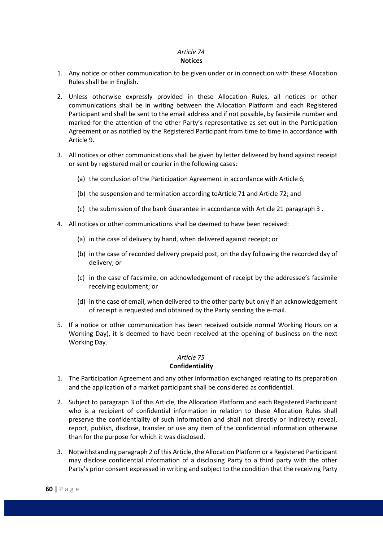### *Article 74* **Notices**

- <span id="page-59-0"></span>1. Any notice or other communication to be given under or in connection with these Allocation Rules shall be in English.
- 2. Unless otherwise expressly provided in these Allocation Rules, all notices or other communications shall be in writing between the Allocation Platform and each Registered Participant and shall be sent to the email address and if not possible, by facsimile number and marked for the attention of the other Party's representative as set out in the Participation Agreement or as notified by the Registered Participant from time to time in accordance with [Article 9.](#page-13-1)
- 3. All notices or other communications shall be given by letter delivered by hand against receipt or sent by registered mail or courier in the following cases:
	- (a) the conclusion of the Participation Agreement in accordance with [Article 6;](#page-12-1)
	- (b) the suspension and termination according t[oArticle 71](#page-55-0) and [Article 72;](#page-56-0) and
	- (c) the submission of the bank Guarantee in accordance with [Article 21](#page-18-0) paragraph 3 .
- 4. All notices or other communications shall be deemed to have been received:
	- (a) in the case of delivery by hand, when delivered against receipt; or
	- (b) in the case of recorded delivery prepaid post, on the day following the recorded day of delivery; or
	- (c) in the case of facsimile, on acknowledgement of receipt by the addressee's facsimile receiving equipment; or
	- (d) in the case of email, when delivered to the other party but only if an acknowledgement of receipt is requested and obtained by the Party sending the e-mail.
- 5. If a notice or other communication has been received outside normal Working Hours on a Working Day), it is deemed to have been received at the opening of business on the next Working Day.

#### *Article 75*

# **Confidentiality**

- <span id="page-59-1"></span>1. The Participation Agreement and any other information exchanged relating to its preparation and the application of a market participant shall be considered as confidential.
- 2. Subject to paragraph 3 of this Article, the Allocation Platform and each Registered Participant who is a recipient of confidential information in relation to these Allocation Rules shall preserve the confidentiality of such information and shall not directly or indirectly reveal, report, publish, disclose, transfer or use any item of the confidential information otherwise than for the purpose for which it was disclosed.
- 3. Notwithstanding paragraph 2 of this Article, the Allocation Platform or a Registered Participant may disclose confidential information of a disclosing Party to a third party with the other Party's prior consent expressed in writing and subject to the condition that the receiving Party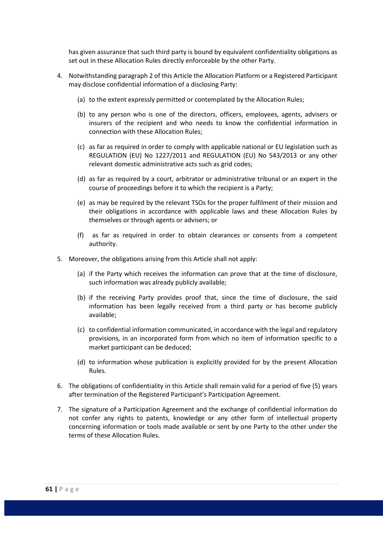has given assurance that such third party is bound by equivalent confidentiality obligations as set out in these Allocation Rules directly enforceable by the other Party.

- 4. Notwithstanding paragraph 2 of this Article the Allocation Platform or a Registered Participant may disclose confidential information of a disclosing Party:
	- (a) to the extent expressly permitted or contemplated by the Allocation Rules;
	- (b) to any person who is one of the directors, officers, employees, agents, advisers or insurers of the recipient and who needs to know the confidential information in connection with these Allocation Rules;
	- (c) as far as required in order to comply with applicable national or EU legislation such as REGULATION (EU) No 1227/2011 and REGULATION (EU) No 543/2013 or any other relevant domestic administrative acts such as grid codes;
	- (d) as far as required by a court, arbitrator or administrative tribunal or an expert in the course of proceedings before it to which the recipient is a Party;
	- (e) as may be required by the relevant TSOs for the proper fulfilment of their mission and their obligations in accordance with applicable laws and these Allocation Rules by themselves or through agents or advisers; or
	- (f) as far as required in order to obtain clearances or consents from a competent authority.
- 5. Moreover, the obligations arising from this Article shall not apply:
	- (a) if the Party which receives the information can prove that at the time of disclosure, such information was already publicly available;
	- (b) if the receiving Party provides proof that, since the time of disclosure, the said information has been legally received from a third party or has become publicly available;
	- (c) to confidential information communicated, in accordance with the legal and regulatory provisions, in an incorporated form from which no item of information specific to a market participant can be deduced;
	- (d) to information whose publication is explicitly provided for by the present Allocation Rules.
- 6. The obligations of confidentiality in this Article shall remain valid for a period of five (5) years after termination of the Registered Participant's Participation Agreement.
- 7. The signature of a Participation Agreement and the exchange of confidential information do not confer any rights to patents, knowledge or any other form of intellectual property concerning information or tools made available or sent by one Party to the other under the terms of these Allocation Rules.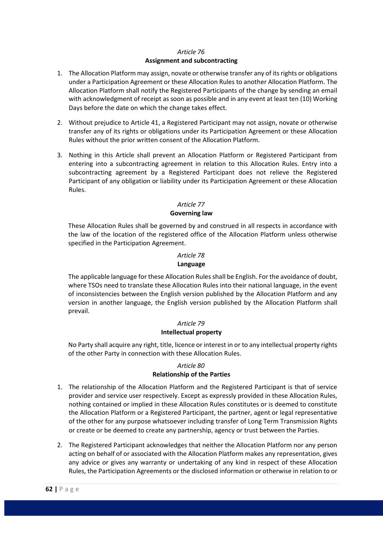# *Article 76* **Assignment and subcontracting**

- <span id="page-61-0"></span>1. The Allocation Platform may assign, novate or otherwise transfer any of its rights or obligations under a Participation Agreement or these Allocation Rules to another Allocation Platform. The Allocation Platform shall notify the Registered Participants of the change by sending an email with acknowledgment of receipt as soon as possible and in any event at least ten (10) Working Days before the date on which the change takes effect.
- 2. Without prejudice to [Article 41,](#page-33-1) a Registered Participant may not assign, novate or otherwise transfer any of its rights or obligations under its Participation Agreement or these Allocation Rules without the prior written consent of the Allocation Platform.
- 3. Nothing in this Article shall prevent an Allocation Platform or Registered Participant from entering into a subcontracting agreement in relation to this Allocation Rules. Entry into a subcontracting agreement by a Registered Participant does not relieve the Registered Participant of any obligation or liability under its Participation Agreement or these Allocation Rules.

# *Article 77* **Governing law**

<span id="page-61-1"></span>These Allocation Rules shall be governed by and construed in all respects in accordance with the law of the location of the registered office of the Allocation Platform unless otherwise specified in the Participation Agreement.

### *Article 78* **Language**

<span id="page-61-2"></span>The applicable language for these Allocation Rules shall be English. For the avoidance of doubt, where TSOs need to translate these Allocation Rules into their national language, in the event of inconsistencies between the English version published by the Allocation Platform and any version in another language, the English version published by the Allocation Platform shall prevail.

# *Article 79* **Intellectual property**

<span id="page-61-3"></span>No Party shall acquire any right, title, licence or interest in or to any intellectual property rights of the other Party in connection with these Allocation Rules.

# *Article 80*

# **Relationship of the Parties**

- <span id="page-61-4"></span>1. The relationship of the Allocation Platform and the Registered Participant is that of service provider and service user respectively. Except as expressly provided in these Allocation Rules, nothing contained or implied in these Allocation Rules constitutes or is deemed to constitute the Allocation Platform or a Registered Participant, the partner, agent or legal representative of the other for any purpose whatsoever including transfer of Long Term Transmission Rights or create or be deemed to create any partnership, agency or trust between the Parties.
- 2. The Registered Participant acknowledges that neither the Allocation Platform nor any person acting on behalf of or associated with the Allocation Platform makes any representation, gives any advice or gives any warranty or undertaking of any kind in respect of these Allocation Rules, the Participation Agreements or the disclosed information or otherwise in relation to or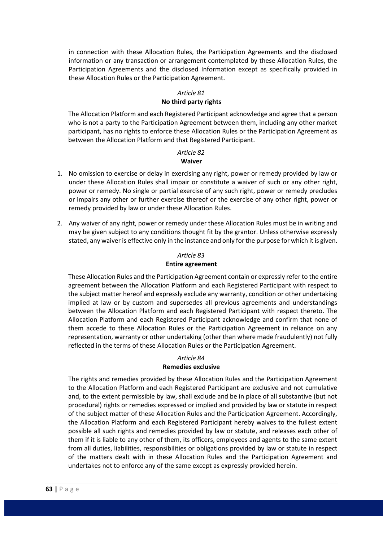in connection with these Allocation Rules, the Participation Agreements and the disclosed information or any transaction or arrangement contemplated by these Allocation Rules, the Participation Agreements and the disclosed Information except as specifically provided in these Allocation Rules or the Participation Agreement.

#### *Article 81*

#### **No third party rights**

<span id="page-62-0"></span>The Allocation Platform and each Registered Participant acknowledge and agree that a person who is not a party to the Participation Agreement between them, including any other market participant, has no rights to enforce these Allocation Rules or the Participation Agreement as between the Allocation Platform and that Registered Participant.

#### *Article 82* **Waiver**

- <span id="page-62-1"></span>1. No omission to exercise or delay in exercising any right, power or remedy provided by law or under these Allocation Rules shall impair or constitute a waiver of such or any other right, power or remedy. No single or partial exercise of any such right, power or remedy precludes or impairs any other or further exercise thereof or the exercise of any other right, power or remedy provided by law or under these Allocation Rules.
- 2. Any waiver of any right, power or remedy under these Allocation Rules must be in writing and may be given subject to any conditions thought fit by the grantor. Unless otherwise expressly stated, any waiver is effective only in the instance and only for the purpose for which it is given.

## *Article 83* **Entire agreement**

<span id="page-62-2"></span>These Allocation Rules and the Participation Agreement contain or expressly refer to the entire agreement between the Allocation Platform and each Registered Participant with respect to the subject matter hereof and expressly exclude any warranty, condition or other undertaking implied at law or by custom and supersedes all previous agreements and understandings between the Allocation Platform and each Registered Participant with respect thereto. The Allocation Platform and each Registered Participant acknowledge and confirm that none of them accede to these Allocation Rules or the Participation Agreement in reliance on any representation, warranty or other undertaking (other than where made fraudulently) not fully reflected in the terms of these Allocation Rules or the Participation Agreement.

# *Article 84*

#### **Remedies exclusive**

<span id="page-62-3"></span>The rights and remedies provided by these Allocation Rules and the Participation Agreement to the Allocation Platform and each Registered Participant are exclusive and not cumulative and, to the extent permissible by law, shall exclude and be in place of all substantive (but not procedural) rights or remedies expressed or implied and provided by law or statute in respect of the subject matter of these Allocation Rules and the Participation Agreement. Accordingly, the Allocation Platform and each Registered Participant hereby waives to the fullest extent possible all such rights and remedies provided by law or statute, and releases each other of them if it is liable to any other of them, its officers, employees and agents to the same extent from all duties, liabilities, responsibilities or obligations provided by law or statute in respect of the matters dealt with in these Allocation Rules and the Participation Agreement and undertakes not to enforce any of the same except as expressly provided herein.